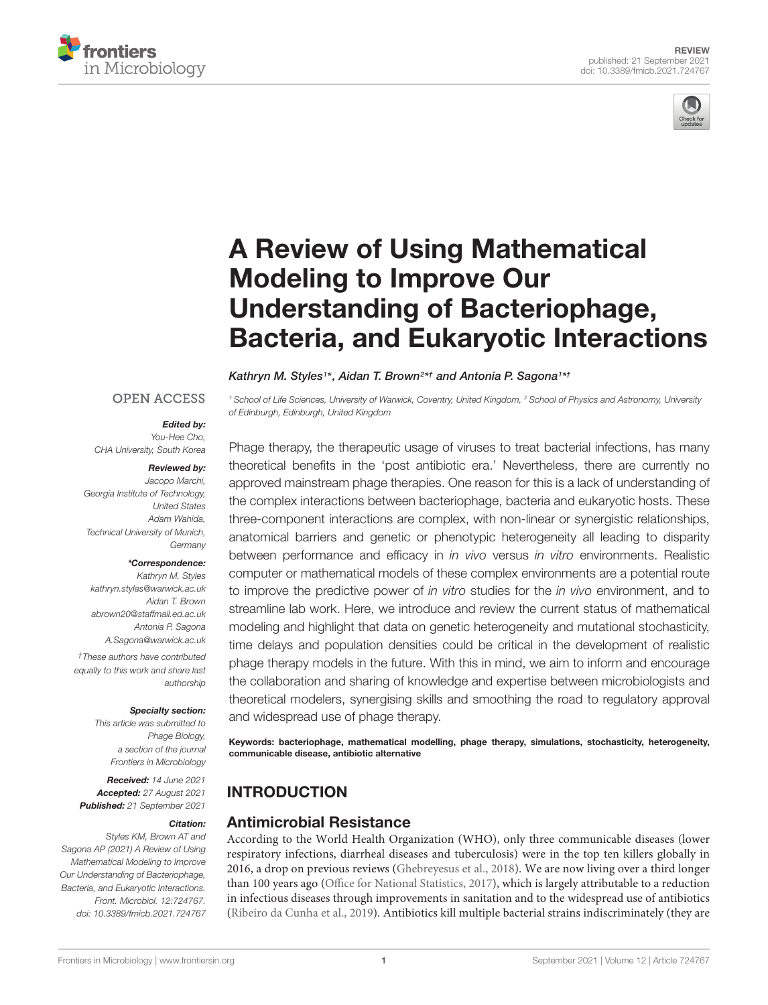



# A Review of Using Mathematical Modeling to Improve Our Understanding of Bacteriophage, [Bacteria, and Eukaryotic Interactions](https://www.frontiersin.org/articles/10.3389/fmicb.2021.724767/full)

#### Kathryn M. Styles1\*, Aidan T. Brown<sup>2\*†</sup> and Antonia P. Sagona1\*†

## **OPEN ACCESS**

#### Edited by:

You-Hee Cho, CHA University, South Korea

#### Reviewed by:

Jacopo Marchi, Georgia Institute of Technology, United States Adam Wahida, Technical University of Munich, Germany

#### \*Correspondence:

Kathryn M. Styles kathryn.styles@warwick.ac.uk Aidan T. Brown abrown20@staffmail.ed.ac.uk Antonia P. Sagona A.Sagona@warwick.ac.uk

†These authors have contributed equally to this work and share last authorship

#### Specialty section:

This article was submitted to Phage Biology, a section of the journal Frontiers in Microbiology

Received: 14 June 2021 Accepted: 27 August 2021 Published: 21 September 2021

#### Citation:

Styles KM, Brown AT and Sagona AP (2021) A Review of Using Mathematical Modeling to Improve Our Understanding of Bacteriophage, Bacteria, and Eukaryotic Interactions. Front. Microbiol. 12:724767. doi: [10.3389/fmicb.2021.724767](https://doi.org/10.3389/fmicb.2021.724767)

<sup>1</sup> School of Life Sciences, University of Warwick, Coventry, United Kingdom, <sup>2</sup> School of Physics and Astronomy, University of Edinburgh, Edinburgh, United Kingdom

Phage therapy, the therapeutic usage of viruses to treat bacterial infections, has many theoretical benefits in the 'post antibiotic era.' Nevertheless, there are currently no approved mainstream phage therapies. One reason for this is a lack of understanding of the complex interactions between bacteriophage, bacteria and eukaryotic hosts. These three-component interactions are complex, with non-linear or synergistic relationships, anatomical barriers and genetic or phenotypic heterogeneity all leading to disparity between performance and efficacy in *in vivo* versus *in vitro* environments. Realistic computer or mathematical models of these complex environments are a potential route to improve the predictive power of in vitro studies for the in vivo environment, and to streamline lab work. Here, we introduce and review the current status of mathematical modeling and highlight that data on genetic heterogeneity and mutational stochasticity, time delays and population densities could be critical in the development of realistic phage therapy models in the future. With this in mind, we aim to inform and encourage the collaboration and sharing of knowledge and expertise between microbiologists and theoretical modelers, synergising skills and smoothing the road to regulatory approval and widespread use of phage therapy.

Keywords: bacteriophage, mathematical modelling, phage therapy, simulations, stochasticity, heterogeneity, communicable disease, antibiotic alternative

# **INTRODUCTION**

#### Antimicrobial Resistance

According to the World Health Organization (WHO), only three communicable diseases (lower respiratory infections, diarrheal diseases and tuberculosis) were in the top ten killers globally in 2016, a drop on previous reviews [\(Ghebreyesus et al.,](#page-14-0) [2018\)](#page-14-0). We are now living over a third longer than 100 years ago [\(Office for National Statistics,](#page-15-0) [2017\)](#page-15-0), which is largely attributable to a reduction in infectious diseases through improvements in sanitation and to the widespread use of antibiotics [\(Ribeiro da Cunha et al.,](#page-16-0) [2019\)](#page-16-0). Antibiotics kill multiple bacterial strains indiscriminately (they are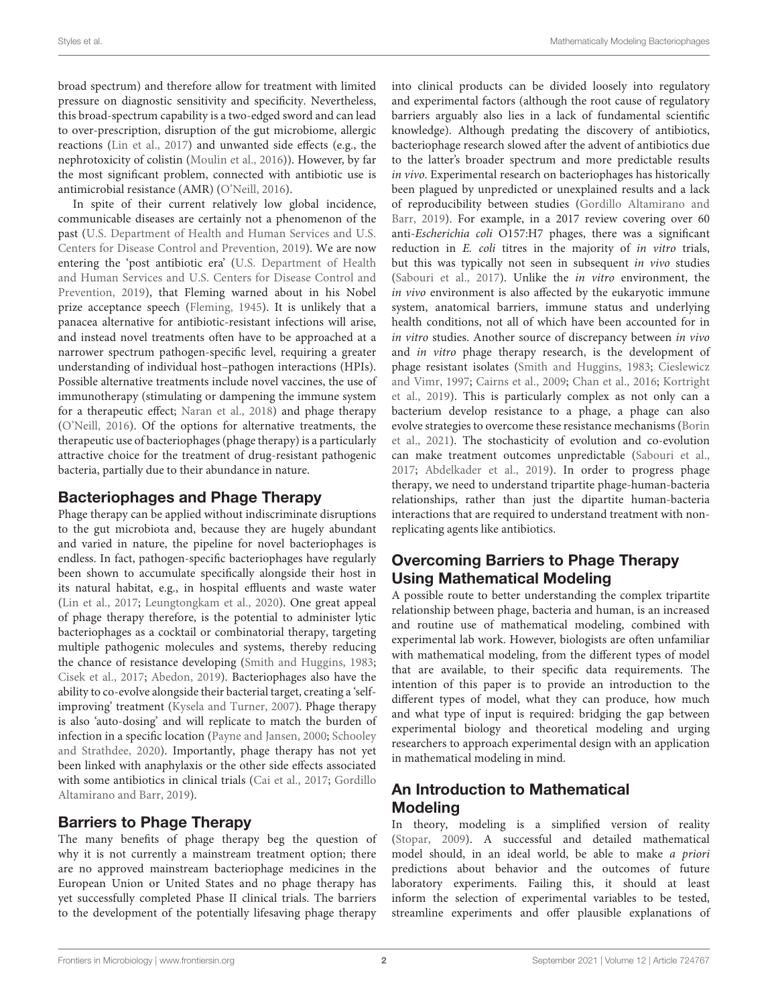broad spectrum) and therefore allow for treatment with limited pressure on diagnostic sensitivity and specificity. Nevertheless, this broad-spectrum capability is a two-edged sword and can lead to over-prescription, disruption of the gut microbiome, allergic reactions [\(Lin et al.,](#page-15-1) [2017\)](#page-15-1) and unwanted side effects (e.g., the nephrotoxicity of colistin [\(Moulin et al.,](#page-15-2) [2016\)](#page-15-2)). However, by far the most significant problem, connected with antibiotic use is antimicrobial resistance (AMR) [\(O'Neill,](#page-15-3) [2016\)](#page-15-3).

In spite of their current relatively low global incidence, communicable diseases are certainly not a phenomenon of the past [\(U.S. Department of Health and Human Services and U.S.](#page-16-1) [Centers for Disease Control and Prevention,](#page-16-1) [2019\)](#page-16-1). We are now entering the 'post antibiotic era' [\(U.S. Department of Health](#page-16-1) [and Human Services and U.S. Centers for Disease Control and](#page-16-1) [Prevention,](#page-16-1) [2019\)](#page-16-1), that Fleming warned about in his Nobel prize acceptance speech [\(Fleming,](#page-14-1) [1945\)](#page-14-1). It is unlikely that a panacea alternative for antibiotic-resistant infections will arise, and instead novel treatments often have to be approached at a narrower spectrum pathogen-specific level, requiring a greater understanding of individual host–pathogen interactions (HPIs). Possible alternative treatments include novel vaccines, the use of immunotherapy (stimulating or dampening the immune system for a therapeutic effect; [Naran et al.,](#page-15-4) [2018\)](#page-15-4) and phage therapy [\(O'Neill,](#page-15-3) [2016\)](#page-15-3). Of the options for alternative treatments, the therapeutic use of bacteriophages (phage therapy) is a particularly attractive choice for the treatment of drug-resistant pathogenic bacteria, partially due to their abundance in nature.

## Bacteriophages and Phage Therapy

Phage therapy can be applied without indiscriminate disruptions to the gut microbiota and, because they are hugely abundant and varied in nature, the pipeline for novel bacteriophages is endless. In fact, pathogen-specific bacteriophages have regularly been shown to accumulate specifically alongside their host in its natural habitat, e.g., in hospital effluents and waste water [\(Lin et al.,](#page-15-1) [2017;](#page-15-1) [Leungtongkam et al.,](#page-15-5) [2020\)](#page-15-5). One great appeal of phage therapy therefore, is the potential to administer lytic bacteriophages as a cocktail or combinatorial therapy, targeting multiple pathogenic molecules and systems, thereby reducing the chance of resistance developing [\(Smith and Huggins,](#page-16-2) [1983;](#page-16-2) [Cisek et al.,](#page-14-2) [2017;](#page-14-2) [Abedon,](#page-14-3) [2019\)](#page-14-3). Bacteriophages also have the ability to co-evolve alongside their bacterial target, creating a 'selfimproving' treatment [\(Kysela and Turner,](#page-15-6) [2007\)](#page-15-6). Phage therapy is also 'auto-dosing' and will replicate to match the burden of infection in a specific location [\(Payne and Jansen,](#page-16-3) [2000;](#page-16-3) [Schooley](#page-16-4) [and Strathdee,](#page-16-4) [2020\)](#page-16-4). Importantly, phage therapy has not yet been linked with anaphylaxis or the other side effects associated with some antibiotics in clinical trials [\(Cai et al.,](#page-14-4) [2017;](#page-14-4) [Gordillo](#page-15-7) [Altamirano and Barr,](#page-15-7) [2019\)](#page-15-7).

## Barriers to Phage Therapy

The many benefits of phage therapy beg the question of why it is not currently a mainstream treatment option; there are no approved mainstream bacteriophage medicines in the European Union or United States and no phage therapy has yet successfully completed Phase II clinical trials. The barriers to the development of the potentially lifesaving phage therapy into clinical products can be divided loosely into regulatory and experimental factors (although the root cause of regulatory barriers arguably also lies in a lack of fundamental scientific knowledge). Although predating the discovery of antibiotics, bacteriophage research slowed after the advent of antibiotics due to the latter's broader spectrum and more predictable results in vivo. Experimental research on bacteriophages has historically been plagued by unpredicted or unexplained results and a lack of reproducibility between studies [\(Gordillo Altamirano and](#page-15-7) [Barr,](#page-15-7) [2019\)](#page-15-7). For example, in a 2017 review covering over 60 anti-Escherichia coli O157:H7 phages, there was a significant reduction in E. coli titres in the majority of in vitro trials, but this was typically not seen in subsequent in vivo studies [\(Sabouri et al.,](#page-16-5) [2017\)](#page-16-5). Unlike the in vitro environment, the in vivo environment is also affected by the eukaryotic immune system, anatomical barriers, immune status and underlying health conditions, not all of which have been accounted for in in vitro studies. Another source of discrepancy between in vivo and in vitro phage therapy research, is the development of phage resistant isolates [\(Smith and Huggins,](#page-16-2) [1983;](#page-16-2) [Cieslewicz](#page-14-5) [and Vimr,](#page-14-5) [1997;](#page-14-5) [Cairns et al.,](#page-14-6) [2009;](#page-14-6) [Chan et al.,](#page-14-7) [2016;](#page-14-7) [Kortright](#page-15-8) [et al.,](#page-15-8) [2019\)](#page-15-8). This is particularly complex as not only can a bacterium develop resistance to a phage, a phage can also evolve strategies to overcome these resistance mechanisms [\(Borin](#page-14-8) [et al.,](#page-14-8) [2021\)](#page-14-8). The stochasticity of evolution and co-evolution can make treatment outcomes unpredictable [\(Sabouri et al.,](#page-16-5) [2017;](#page-16-5) [Abdelkader et al.,](#page-14-9) [2019\)](#page-14-9). In order to progress phage therapy, we need to understand tripartite phage-human-bacteria relationships, rather than just the dipartite human-bacteria interactions that are required to understand treatment with nonreplicating agents like antibiotics.

## Overcoming Barriers to Phage Therapy Using Mathematical Modeling

A possible route to better understanding the complex tripartite relationship between phage, bacteria and human, is an increased and routine use of mathematical modeling, combined with experimental lab work. However, biologists are often unfamiliar with mathematical modeling, from the different types of model that are available, to their specific data requirements. The intention of this paper is to provide an introduction to the different types of model, what they can produce, how much and what type of input is required: bridging the gap between experimental biology and theoretical modeling and urging researchers to approach experimental design with an application in mathematical modeling in mind.

## An Introduction to Mathematical **Modeling**

In theory, modeling is a simplified version of reality [\(Stopar,](#page-16-6) [2009\)](#page-16-6). A successful and detailed mathematical model should, in an ideal world, be able to make a priori predictions about behavior and the outcomes of future laboratory experiments. Failing this, it should at least inform the selection of experimental variables to be tested, streamline experiments and offer plausible explanations of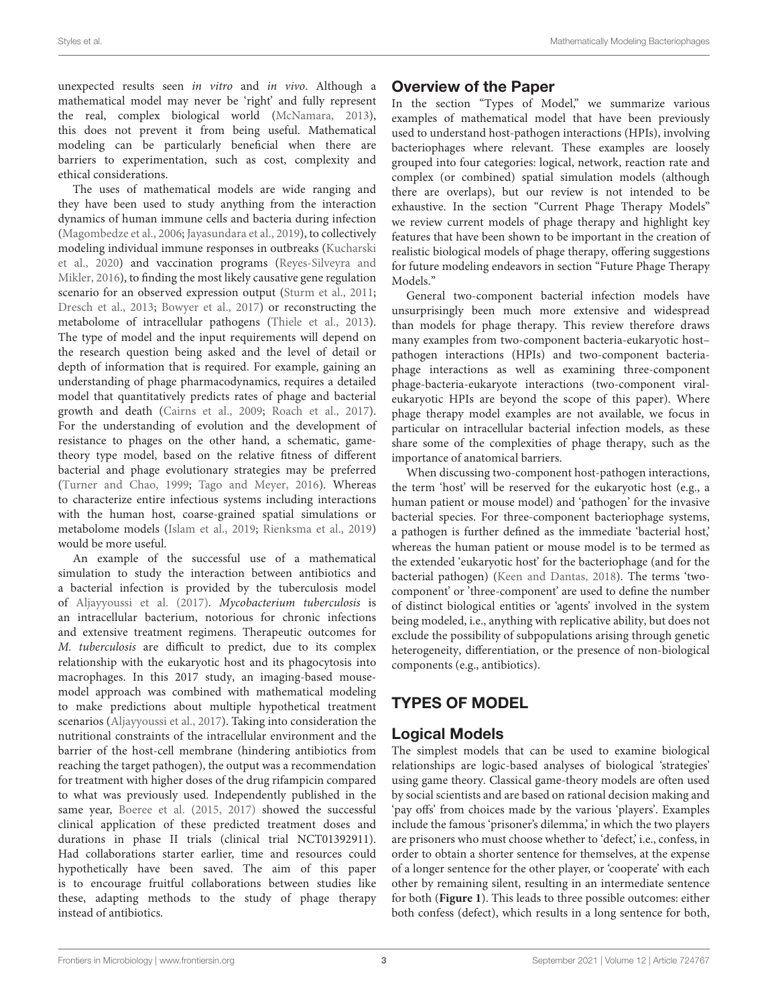unexpected results seen in vitro and in vivo. Although a mathematical model may never be 'right' and fully represent the real, complex biological world [\(McNamara,](#page-15-9) [2013\)](#page-15-9), this does not prevent it from being useful. Mathematical modeling can be particularly beneficial when there are barriers to experimentation, such as cost, complexity and ethical considerations.

The uses of mathematical models are wide ranging and they have been used to study anything from the interaction dynamics of human immune cells and bacteria during infection [\(Magombedze et al.,](#page-15-10) [2006;](#page-15-10) [Jayasundara et al.,](#page-15-11) [2019\)](#page-15-11), to collectively modeling individual immune responses in outbreaks [\(Kucharski](#page-15-12) [et al.,](#page-15-12) [2020\)](#page-15-12) and vaccination programs [\(Reyes-Silveyra and](#page-16-7) [Mikler,](#page-16-7) [2016\)](#page-16-7), to finding the most likely causative gene regulation scenario for an observed expression output [\(Sturm et al.,](#page-16-8) [2011;](#page-16-8) [Dresch et al.,](#page-14-10) [2013;](#page-14-10) [Bowyer et al.,](#page-14-11) [2017\)](#page-14-11) or reconstructing the metabolome of intracellular pathogens [\(Thiele et al.,](#page-16-9) [2013\)](#page-16-9). The type of model and the input requirements will depend on the research question being asked and the level of detail or depth of information that is required. For example, gaining an understanding of phage pharmacodynamics, requires a detailed model that quantitatively predicts rates of phage and bacterial growth and death [\(Cairns et al.,](#page-14-6) [2009;](#page-14-6) [Roach et al.,](#page-16-10) [2017\)](#page-16-10). For the understanding of evolution and the development of resistance to phages on the other hand, a schematic, gametheory type model, based on the relative fitness of different bacterial and phage evolutionary strategies may be preferred [\(Turner and Chao,](#page-16-11) [1999;](#page-16-11) [Tago and Meyer,](#page-16-12) [2016\)](#page-16-12). Whereas to characterize entire infectious systems including interactions with the human host, coarse-grained spatial simulations or metabolome models [\(Islam et al.,](#page-15-13) [2019;](#page-15-13) [Rienksma et al.,](#page-16-13) [2019\)](#page-16-13) would be more useful.

An example of the successful use of a mathematical simulation to study the interaction between antibiotics and a bacterial infection is provided by the tuberculosis model of [Aljayyoussi et al.](#page-14-12) [\(2017\)](#page-14-12). Mycobacterium tuberculosis is an intracellular bacterium, notorious for chronic infections and extensive treatment regimens. Therapeutic outcomes for M. tuberculosis are difficult to predict, due to its complex relationship with the eukaryotic host and its phagocytosis into macrophages. In this 2017 study, an imaging-based mousemodel approach was combined with mathematical modeling to make predictions about multiple hypothetical treatment scenarios [\(Aljayyoussi et al.,](#page-14-12) [2017\)](#page-14-12). Taking into consideration the nutritional constraints of the intracellular environment and the barrier of the host-cell membrane (hindering antibiotics from reaching the target pathogen), the output was a recommendation for treatment with higher doses of the drug rifampicin compared to what was previously used. Independently published in the same year, [Boeree et al.](#page-14-13) [\(2015,](#page-14-13) [2017\)](#page-14-14) showed the successful clinical application of these predicted treatment doses and durations in phase II trials (clinical trial NCT01392911). Had collaborations starter earlier, time and resources could hypothetically have been saved. The aim of this paper is to encourage fruitful collaborations between studies like these, adapting methods to the study of phage therapy instead of antibiotics.

## Overview of the Paper

In the section "Types of Model," we summarize various examples of mathematical model that have been previously used to understand host-pathogen interactions (HPIs), involving bacteriophages where relevant. These examples are loosely grouped into four categories: logical, network, reaction rate and complex (or combined) spatial simulation models (although there are overlaps), but our review is not intended to be exhaustive. In the section "Current Phage Therapy Models" we review current models of phage therapy and highlight key features that have been shown to be important in the creation of realistic biological models of phage therapy, offering suggestions for future modeling endeavors in section "Future Phage Therapy Models."

General two-component bacterial infection models have unsurprisingly been much more extensive and widespread than models for phage therapy. This review therefore draws many examples from two-component bacteria-eukaryotic host– pathogen interactions (HPIs) and two-component bacteriaphage interactions as well as examining three-component phage-bacteria-eukaryote interactions (two-component viraleukaryotic HPIs are beyond the scope of this paper). Where phage therapy model examples are not available, we focus in particular on intracellular bacterial infection models, as these share some of the complexities of phage therapy, such as the importance of anatomical barriers.

When discussing two-component host-pathogen interactions, the term 'host' will be reserved for the eukaryotic host (e.g., a human patient or mouse model) and 'pathogen' for the invasive bacterial species. For three-component bacteriophage systems, a pathogen is further defined as the immediate 'bacterial host,' whereas the human patient or mouse model is to be termed as the extended 'eukaryotic host' for the bacteriophage (and for the bacterial pathogen) [\(Keen and Dantas,](#page-15-14) [2018\)](#page-15-14). The terms 'twocomponent' or 'three-component' are used to define the number of distinct biological entities or 'agents' involved in the system being modeled, i.e., anything with replicative ability, but does not exclude the possibility of subpopulations arising through genetic heterogeneity, differentiation, or the presence of non-biological components (e.g., antibiotics).

# TYPES OF MODEL

# Logical Models

The simplest models that can be used to examine biological relationships are logic-based analyses of biological 'strategies' using game theory. Classical game-theory models are often used by social scientists and are based on rational decision making and 'pay offs' from choices made by the various 'players'. Examples include the famous 'prisoner's dilemma,' in which the two players are prisoners who must choose whether to 'defect,' i.e., confess, in order to obtain a shorter sentence for themselves, at the expense of a longer sentence for the other player, or 'cooperate' with each other by remaining silent, resulting in an intermediate sentence for both (**[Figure 1](#page-3-0)**). This leads to three possible outcomes: either both confess (defect), which results in a long sentence for both,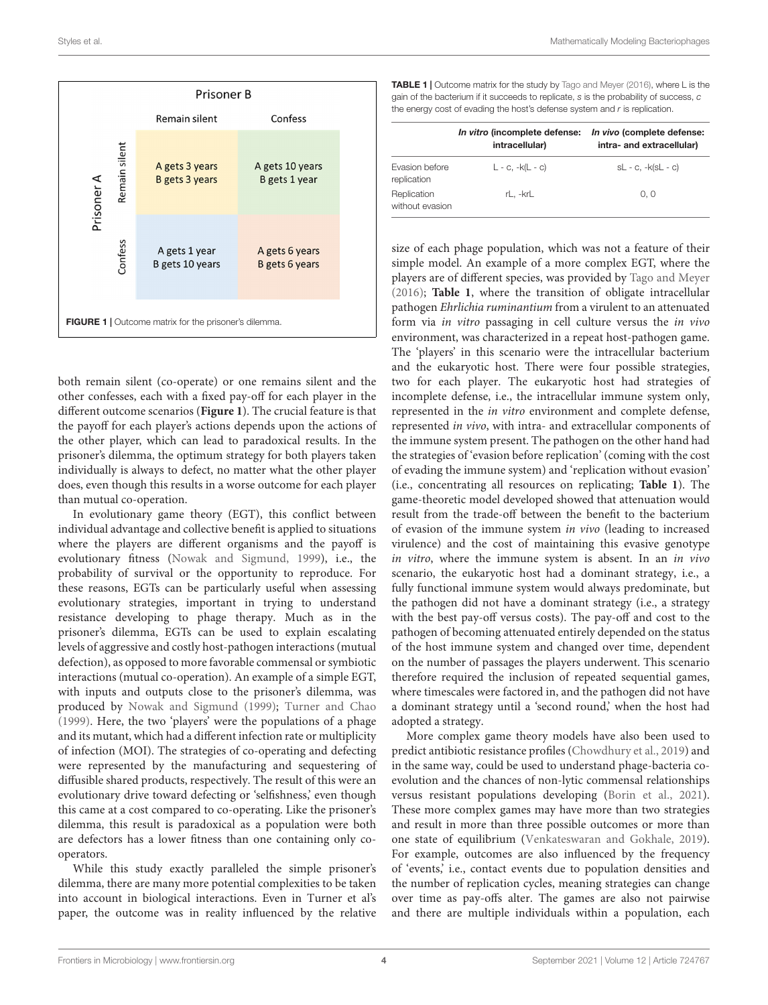

<span id="page-3-0"></span>both remain silent (co-operate) or one remains silent and the other confesses, each with a fixed pay-off for each player in the different outcome scenarios (**[Figure 1](#page-3-0)**). The crucial feature is that the payoff for each player's actions depends upon the actions of the other player, which can lead to paradoxical results. In the prisoner's dilemma, the optimum strategy for both players taken individually is always to defect, no matter what the other player does, even though this results in a worse outcome for each player than mutual co-operation.

In evolutionary game theory (EGT), this conflict between individual advantage and collective benefit is applied to situations where the players are different organisms and the payoff is evolutionary fitness [\(Nowak and Sigmund,](#page-15-15) [1999\)](#page-15-15), i.e., the probability of survival or the opportunity to reproduce. For these reasons, EGTs can be particularly useful when assessing evolutionary strategies, important in trying to understand resistance developing to phage therapy. Much as in the prisoner's dilemma, EGTs can be used to explain escalating levels of aggressive and costly host-pathogen interactions (mutual defection), as opposed to more favorable commensal or symbiotic interactions (mutual co-operation). An example of a simple EGT, with inputs and outputs close to the prisoner's dilemma, was produced by [Nowak and Sigmund](#page-15-15) [\(1999\)](#page-15-15); [Turner and Chao](#page-16-11) [\(1999\)](#page-16-11). Here, the two 'players' were the populations of a phage and its mutant, which had a different infection rate or multiplicity of infection (MOI). The strategies of co-operating and defecting were represented by the manufacturing and sequestering of diffusible shared products, respectively. The result of this were an evolutionary drive toward defecting or 'selfishness,' even though this came at a cost compared to co-operating. Like the prisoner's dilemma, this result is paradoxical as a population were both are defectors has a lower fitness than one containing only cooperators.

While this study exactly paralleled the simple prisoner's dilemma, there are many more potential complexities to be taken into account in biological interactions. Even in Turner et al's paper, the outcome was in reality influenced by the relative

<span id="page-3-1"></span>TABLE 1 | Outcome matrix for the study by [Tago and Meyer](#page-16-12) [\(2016\)](#page-16-12), where L is the gain of the bacterium if it succeeds to replicate, s is the probability of success, c the energy cost of evading the host's defense system and  $r$  is replication.

|                                | In vitro (incomplete defense:<br>intracellular) | In vivo (complete defense:<br>intra- and extracellular) |
|--------------------------------|-------------------------------------------------|---------------------------------------------------------|
| Evasion before<br>replication  | $L - c$ , $-k(L - c)$                           | $SL - C$ , $-k(SL - C)$                                 |
| Replication<br>without evasion | rL. -krL                                        | 0, 0                                                    |

size of each phage population, which was not a feature of their simple model. An example of a more complex EGT, where the players are of different species, was provided by [Tago and Meyer](#page-16-12) [\(2016\)](#page-16-12); **[Table 1](#page-3-1)**, where the transition of obligate intracellular pathogen Ehrlichia ruminantium from a virulent to an attenuated form via in vitro passaging in cell culture versus the in vivo environment, was characterized in a repeat host-pathogen game. The 'players' in this scenario were the intracellular bacterium and the eukaryotic host. There were four possible strategies, two for each player. The eukaryotic host had strategies of incomplete defense, i.e., the intracellular immune system only, represented in the in vitro environment and complete defense, represented in vivo, with intra- and extracellular components of the immune system present. The pathogen on the other hand had the strategies of 'evasion before replication' (coming with the cost of evading the immune system) and 'replication without evasion' (i.e., concentrating all resources on replicating; **[Table 1](#page-3-1)**). The game-theoretic model developed showed that attenuation would result from the trade-off between the benefit to the bacterium of evasion of the immune system in vivo (leading to increased virulence) and the cost of maintaining this evasive genotype in vitro, where the immune system is absent. In an in vivo scenario, the eukaryotic host had a dominant strategy, i.e., a fully functional immune system would always predominate, but the pathogen did not have a dominant strategy (i.e., a strategy with the best pay-off versus costs). The pay-off and cost to the pathogen of becoming attenuated entirely depended on the status of the host immune system and changed over time, dependent on the number of passages the players underwent. This scenario therefore required the inclusion of repeated sequential games, where timescales were factored in, and the pathogen did not have a dominant strategy until a 'second round,' when the host had adopted a strategy.

More complex game theory models have also been used to predict antibiotic resistance profiles [\(Chowdhury et al.,](#page-14-15) [2019\)](#page-14-15) and in the same way, could be used to understand phage-bacteria coevolution and the chances of non-lytic commensal relationships versus resistant populations developing [\(Borin et al.,](#page-14-8) [2021\)](#page-14-8). These more complex games may have more than two strategies and result in more than three possible outcomes or more than one state of equilibrium [\(Venkateswaran and Gokhale,](#page-16-14) [2019\)](#page-16-14). For example, outcomes are also influenced by the frequency of 'events,' i.e., contact events due to population densities and the number of replication cycles, meaning strategies can change over time as pay-offs alter. The games are also not pairwise and there are multiple individuals within a population, each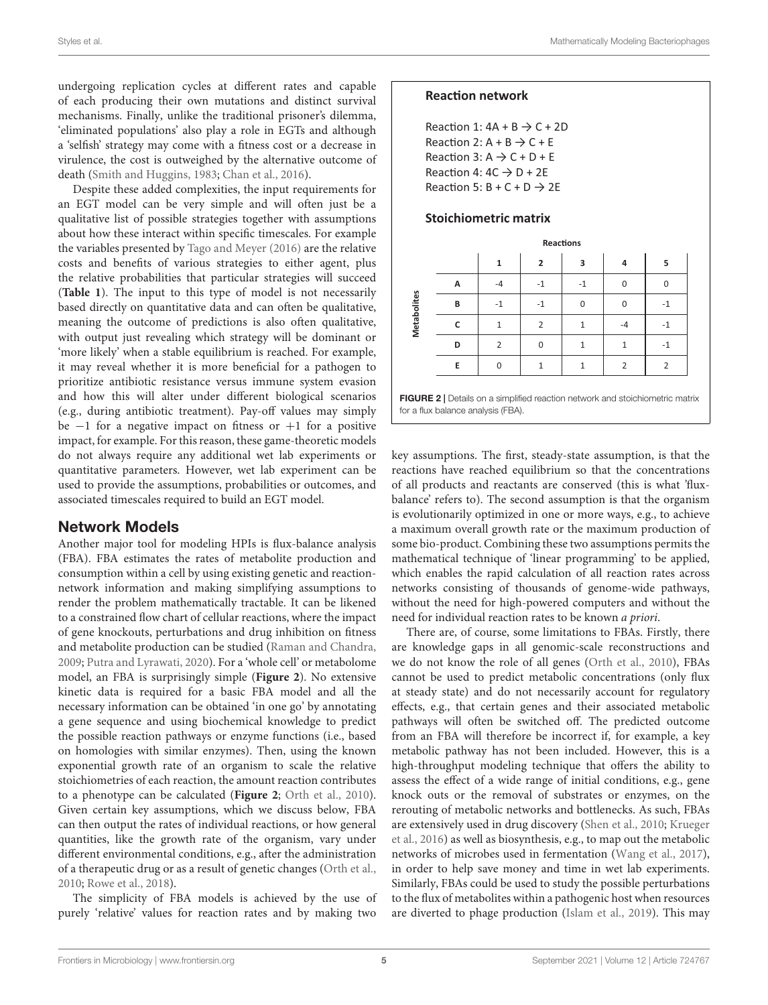Styles et al. Mathematically Modeling Bacteriophages

undergoing replication cycles at different rates and capable of each producing their own mutations and distinct survival mechanisms. Finally, unlike the traditional prisoner's dilemma, 'eliminated populations' also play a role in EGTs and although a 'selfish' strategy may come with a fitness cost or a decrease in virulence, the cost is outweighed by the alternative outcome of death [\(Smith and Huggins,](#page-16-2) [1983;](#page-16-2) [Chan et al.,](#page-14-7) [2016\)](#page-14-7).

Despite these added complexities, the input requirements for an EGT model can be very simple and will often just be a qualitative list of possible strategies together with assumptions about how these interact within specific timescales. For example the variables presented by [Tago and Meyer](#page-16-12) [\(2016\)](#page-16-12) are the relative costs and benefits of various strategies to either agent, plus the relative probabilities that particular strategies will succeed (**[Table 1](#page-3-1)**). The input to this type of model is not necessarily based directly on quantitative data and can often be qualitative, meaning the outcome of predictions is also often qualitative, with output just revealing which strategy will be dominant or 'more likely' when a stable equilibrium is reached. For example, it may reveal whether it is more beneficial for a pathogen to prioritize antibiotic resistance versus immune system evasion and how this will alter under different biological scenarios (e.g., during antibiotic treatment). Pay-off values may simply be  $-1$  for a negative impact on fitness or  $+1$  for a positive impact, for example. For this reason, these game-theoretic models do not always require any additional wet lab experiments or quantitative parameters. However, wet lab experiment can be used to provide the assumptions, probabilities or outcomes, and associated timescales required to build an EGT model.

#### Network Models

Another major tool for modeling HPIs is flux-balance analysis (FBA). FBA estimates the rates of metabolite production and consumption within a cell by using existing genetic and reactionnetwork information and making simplifying assumptions to render the problem mathematically tractable. It can be likened to a constrained flow chart of cellular reactions, where the impact of gene knockouts, perturbations and drug inhibition on fitness and metabolite production can be studied [\(Raman and Chandra,](#page-16-15) [2009;](#page-16-15) [Putra and Lyrawati,](#page-16-16) [2020\)](#page-16-16). For a 'whole cell' or metabolome model, an FBA is surprisingly simple (**[Figure 2](#page-4-0)**). No extensive kinetic data is required for a basic FBA model and all the necessary information can be obtained 'in one go' by annotating a gene sequence and using biochemical knowledge to predict the possible reaction pathways or enzyme functions (i.e., based on homologies with similar enzymes). Then, using the known exponential growth rate of an organism to scale the relative stoichiometries of each reaction, the amount reaction contributes to a phenotype can be calculated (**[Figure 2](#page-4-0)**; [Orth et al.,](#page-16-17) [2010\)](#page-16-17). Given certain key assumptions, which we discuss below, FBA can then output the rates of individual reactions, or how general quantities, like the growth rate of the organism, vary under different environmental conditions, e.g., after the administration of a therapeutic drug or as a result of genetic changes [\(Orth et al.,](#page-16-17) [2010;](#page-16-17) [Rowe et al.,](#page-16-18) [2018\)](#page-16-18).

The simplicity of FBA models is achieved by the use of purely 'relative' values for reaction rates and by making two

## **Reaction network**

Reaction 1:  $4A + B \rightarrow C + 2D$ Reaction 2:  $A + B \rightarrow C + E$ Reaction 3:  $A \rightarrow C + D + E$ Reaction 4:  $4C \rightarrow D + 2E$ Reaction 5:  $B + C + D \rightarrow 2E$ 

#### **Stoichiometric matrix**

|                                                                               | <b>Reactions</b> |                |                |      |                |                |  |  |  |
|-------------------------------------------------------------------------------|------------------|----------------|----------------|------|----------------|----------------|--|--|--|
|                                                                               |                  | $\overline{1}$ | $\overline{2}$ | 3    | 4              | 5              |  |  |  |
| Metabolites                                                                   | А                | $-4$           | -1             | $-1$ | 0              | 0              |  |  |  |
|                                                                               | В                | $-1$           | $-1$           | 0    | 0              | $-1$           |  |  |  |
|                                                                               | C                | 1              | $\overline{2}$ | 1    | -4             | $-1$           |  |  |  |
|                                                                               | D                | $\overline{2}$ | $\mathbf 0$    |      | 1              | $-1$           |  |  |  |
|                                                                               | E                | 0              |                |      | $\overline{2}$ | $\overline{2}$ |  |  |  |
| FIGURE 2   Details on a simplified reaction network and stoichiometric matrix |                  |                |                |      |                |                |  |  |  |

<span id="page-4-0"></span>**FIGURE 2** | Details on a simplified reaction network and stoichiometric matrix for a flux balance analysis (FBA).

key assumptions. The first, steady-state assumption, is that the reactions have reached equilibrium so that the concentrations of all products and reactants are conserved (this is what 'fluxbalance' refers to). The second assumption is that the organism is evolutionarily optimized in one or more ways, e.g., to achieve a maximum overall growth rate or the maximum production of some bio-product. Combining these two assumptions permits the mathematical technique of 'linear programming' to be applied, which enables the rapid calculation of all reaction rates across networks consisting of thousands of genome-wide pathways, without the need for high-powered computers and without the need for individual reaction rates to be known a priori.

There are, of course, some limitations to FBAs. Firstly, there are knowledge gaps in all genomic-scale reconstructions and we do not know the role of all genes [\(Orth et al.,](#page-16-17) [2010\)](#page-16-17), FBAs cannot be used to predict metabolic concentrations (only flux at steady state) and do not necessarily account for regulatory effects, e.g., that certain genes and their associated metabolic pathways will often be switched off. The predicted outcome from an FBA will therefore be incorrect if, for example, a key metabolic pathway has not been included. However, this is a high-throughput modeling technique that offers the ability to assess the effect of a wide range of initial conditions, e.g., gene knock outs or the removal of substrates or enzymes, on the rerouting of metabolic networks and bottlenecks. As such, FBAs are extensively used in drug discovery [\(Shen et al.,](#page-16-19) [2010;](#page-16-19) [Krueger](#page-15-16) [et al.,](#page-15-16) [2016\)](#page-15-16) as well as biosynthesis, e.g., to map out the metabolic networks of microbes used in fermentation [\(Wang et al.,](#page-16-20) [2017\)](#page-16-20), in order to help save money and time in wet lab experiments. Similarly, FBAs could be used to study the possible perturbations to the flux of metabolites within a pathogenic host when resources are diverted to phage production [\(Islam et al.,](#page-15-13) [2019\)](#page-15-13). This may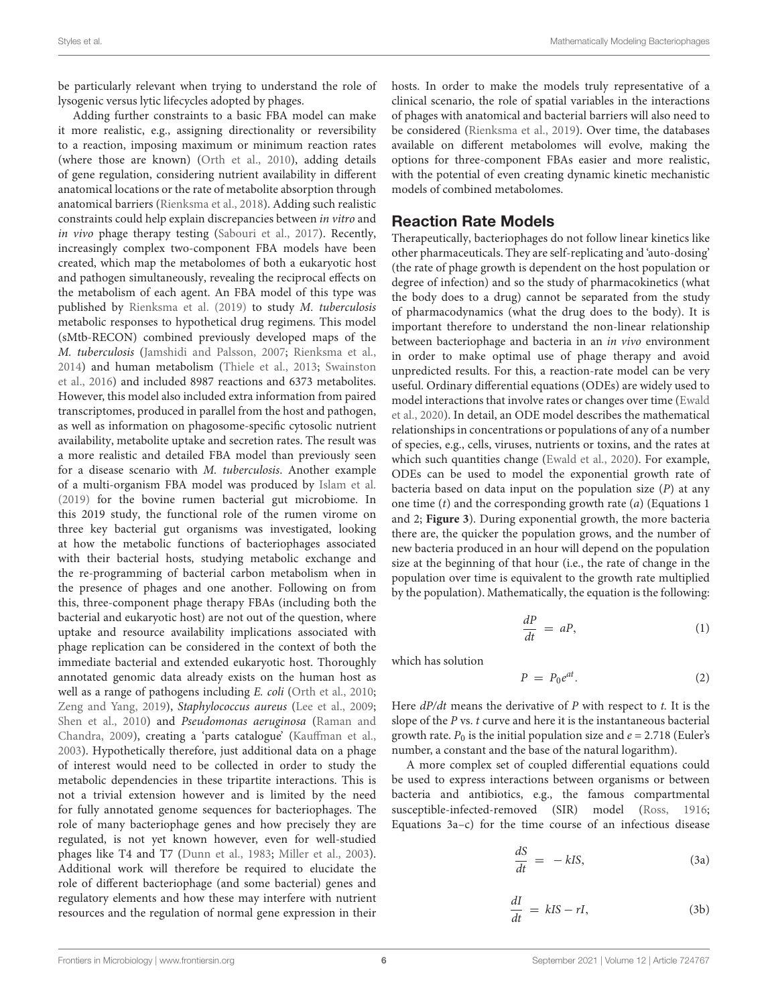be particularly relevant when trying to understand the role of lysogenic versus lytic lifecycles adopted by phages.

Adding further constraints to a basic FBA model can make it more realistic, e.g., assigning directionality or reversibility to a reaction, imposing maximum or minimum reaction rates (where those are known) [\(Orth et al.,](#page-16-17) [2010\)](#page-16-17), adding details of gene regulation, considering nutrient availability in different anatomical locations or the rate of metabolite absorption through anatomical barriers [\(Rienksma et al.,](#page-16-21) [2018\)](#page-16-21). Adding such realistic constraints could help explain discrepancies between in vitro and in vivo phage therapy testing [\(Sabouri et al.,](#page-16-5) [2017\)](#page-16-5). Recently, increasingly complex two-component FBA models have been created, which map the metabolomes of both a eukaryotic host and pathogen simultaneously, revealing the reciprocal effects on the metabolism of each agent. An FBA model of this type was published by [Rienksma et al.](#page-16-13) [\(2019\)](#page-16-13) to study M. tuberculosis metabolic responses to hypothetical drug regimens. This model (sMtb-RECON) combined previously developed maps of the M. tuberculosis [\(Jamshidi and Palsson,](#page-15-17) [2007;](#page-15-17) [Rienksma et al.,](#page-16-22) [2014\)](#page-16-22) and human metabolism [\(Thiele et al.,](#page-16-9) [2013;](#page-16-9) [Swainston](#page-16-23) [et al.,](#page-16-23) [2016\)](#page-16-23) and included 8987 reactions and 6373 metabolites. However, this model also included extra information from paired transcriptomes, produced in parallel from the host and pathogen, as well as information on phagosome-specific cytosolic nutrient availability, metabolite uptake and secretion rates. The result was a more realistic and detailed FBA model than previously seen for a disease scenario with M. tuberculosis. Another example of a multi-organism FBA model was produced by [Islam et al.](#page-15-13) [\(2019\)](#page-15-13) for the bovine rumen bacterial gut microbiome. In this 2019 study, the functional role of the rumen virome on three key bacterial gut organisms was investigated, looking at how the metabolic functions of bacteriophages associated with their bacterial hosts, studying metabolic exchange and the re-programming of bacterial carbon metabolism when in the presence of phages and one another. Following on from this, three-component phage therapy FBAs (including both the bacterial and eukaryotic host) are not out of the question, where uptake and resource availability implications associated with phage replication can be considered in the context of both the immediate bacterial and extended eukaryotic host. Thoroughly annotated genomic data already exists on the human host as well as a range of pathogens including E. coli [\(Orth et al.,](#page-16-17) [2010;](#page-16-17) [Zeng and Yang,](#page-16-24) [2019\)](#page-16-24), Staphylococcus aureus [\(Lee et al.,](#page-15-18) [2009;](#page-15-18) [Shen et al.,](#page-16-19) [2010\)](#page-16-19) and Pseudomonas aeruginosa [\(Raman and](#page-16-15) [Chandra,](#page-16-15) [2009\)](#page-16-15), creating a 'parts catalogue' [\(Kauffman et al.,](#page-15-19) [2003\)](#page-15-19). Hypothetically therefore, just additional data on a phage of interest would need to be collected in order to study the metabolic dependencies in these tripartite interactions. This is not a trivial extension however and is limited by the need for fully annotated genome sequences for bacteriophages. The role of many bacteriophage genes and how precisely they are regulated, is not yet known however, even for well-studied phages like T4 and T7 [\(Dunn et al.,](#page-14-16) [1983;](#page-14-16) [Miller et al.,](#page-15-20) [2003\)](#page-15-20). Additional work will therefore be required to elucidate the role of different bacteriophage (and some bacterial) genes and regulatory elements and how these may interfere with nutrient resources and the regulation of normal gene expression in their hosts. In order to make the models truly representative of a clinical scenario, the role of spatial variables in the interactions of phages with anatomical and bacterial barriers will also need to be considered [\(Rienksma et al.,](#page-16-13) [2019\)](#page-16-13). Over time, the databases available on different metabolomes will evolve, making the options for three-component FBAs easier and more realistic, with the potential of even creating dynamic kinetic mechanistic models of combined metabolomes.

## Reaction Rate Models

Therapeutically, bacteriophages do not follow linear kinetics like other pharmaceuticals. They are self-replicating and 'auto-dosing' (the rate of phage growth is dependent on the host population or degree of infection) and so the study of pharmacokinetics (what the body does to a drug) cannot be separated from the study of pharmacodynamics (what the drug does to the body). It is important therefore to understand the non-linear relationship between bacteriophage and bacteria in an in vivo environment in order to make optimal use of phage therapy and avoid unpredicted results. For this, a reaction-rate model can be very useful. Ordinary differential equations (ODEs) are widely used to model interactions that involve rates or changes over time [\(Ewald](#page-14-17) [et al.,](#page-14-17) [2020\)](#page-14-17). In detail, an ODE model describes the mathematical relationships in concentrations or populations of any of a number of species, e.g., cells, viruses, nutrients or toxins, and the rates at which such quantities change [\(Ewald et al.,](#page-14-17) [2020\)](#page-14-17). For example, ODEs can be used to model the exponential growth rate of bacteria based on data input on the population size  $(P)$  at any one time  $(t)$  and the corresponding growth rate  $(a)$  (Equations 1) and 2; **[Figure 3](#page-6-0)**). During exponential growth, the more bacteria there are, the quicker the population grows, and the number of new bacteria produced in an hour will depend on the population size at the beginning of that hour (i.e., the rate of change in the population over time is equivalent to the growth rate multiplied by the population). Mathematically, the equation is the following:

$$
\frac{dP}{dt} = aP,\t\t(1)
$$

which has solution

$$
P = P_0 e^{at}.\t\t(2)
$$

Here  $dP/dt$  means the derivative of P with respect to t. It is the slope of the  $P$  vs.  $t$  curve and here it is the instantaneous bacterial growth rate.  $P_0$  is the initial population size and  $e = 2.718$  (Euler's number, a constant and the base of the natural logarithm).

A more complex set of coupled differential equations could be used to express interactions between organisms or between bacteria and antibiotics, e.g., the famous compartmental susceptible-infected-removed (SIR) model [\(Ross,](#page-16-25) [1916;](#page-16-25) Equations 3a–c) for the time course of an infectious disease

$$
\frac{dS}{dt} = -kIS,
$$
\n(3a)

$$
\frac{dI}{dt} = kIS - rI, \tag{3b}
$$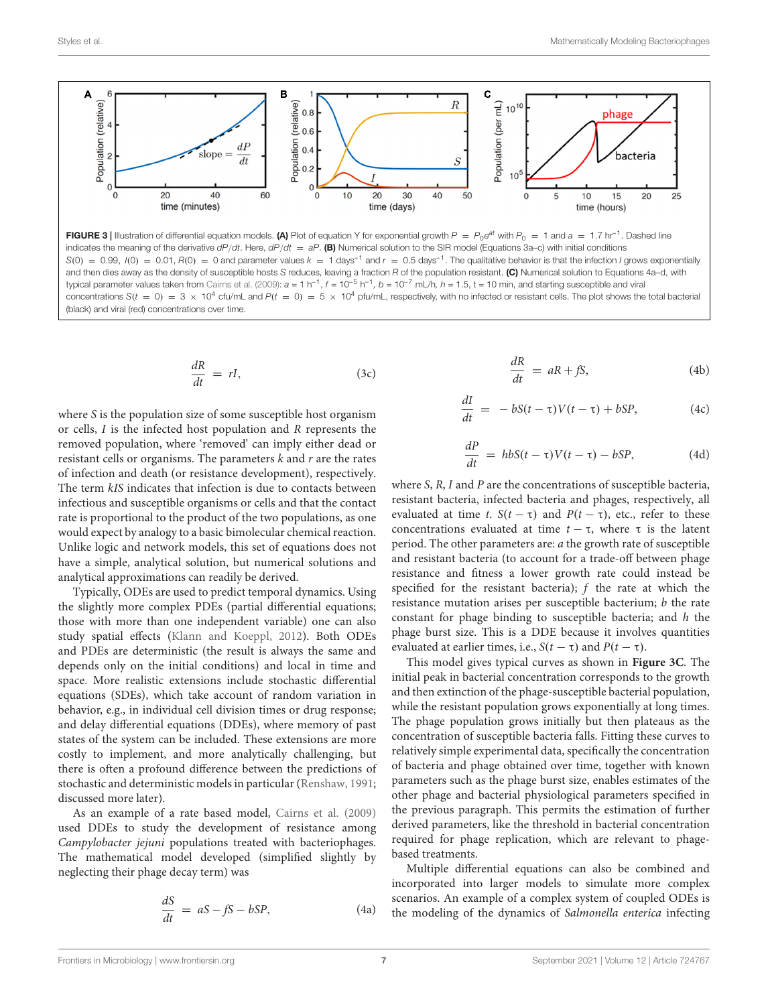

<span id="page-6-0"></span>FIGURE 3 | Illustration of differential equation models. (A) Plot of equation Y for exponential growth  $P = P_0 e^{at}$  with  $P_0 = 1$  and  $a = 1.7$  hr<sup>-1</sup>. Dashed line indicates the meaning of the derivative  $dP/dt$ . Here,  $dP/dt = aP$ . (B) Numerical solution to the SIR model (Equations 3a–c) with initial conditions  $S(0) = 0.99$ ,  $I(0) = 0.01$ ,  $R(0) = 0$  and parameter values  $k = 1$  days<sup>-1</sup> and  $r = 0.5$  days<sup>-1</sup>. The qualitative behavior is that the infection *I* grows exponentially and then dies away as the density of susceptible hosts S reduces, leaving a fraction R of the population resistant. (C) Numerical solution to Equations 4a-d, with typical parameter values taken from [Cairns et al.](#page-14-6) [\(2009\)](#page-14-6):  $a = 1$  h<sup>-1</sup>,  $f = 10^{-5}$  h<sup>-1</sup>,  $b = 10^{-7}$  mL/h,  $h = 1.5$ , t = 10 min, and starting susceptible and viral concentrations S(t = 0) = 3  $\times$  10<sup>4</sup> cfu/mL and P(t = 0) = 5  $\times$  10<sup>4</sup> pfu/mL, respectively, with no infected or resistant cells. The plot shows the total bacterial (black) and viral (red) concentrations over time.

$$
\frac{dR}{dt} = rI, \tag{3c}
$$

where S is the population size of some susceptible host organism or cells, I is the infected host population and R represents the removed population, where 'removed' can imply either dead or resistant cells or organisms. The parameters  $k$  and  $r$  are the rates of infection and death (or resistance development), respectively. The term kIS indicates that infection is due to contacts between infectious and susceptible organisms or cells and that the contact rate is proportional to the product of the two populations, as one would expect by analogy to a basic bimolecular chemical reaction. Unlike logic and network models, this set of equations does not have a simple, analytical solution, but numerical solutions and analytical approximations can readily be derived.

Typically, ODEs are used to predict temporal dynamics. Using the slightly more complex PDEs (partial differential equations; those with more than one independent variable) one can also study spatial effects [\(Klann and Koeppl,](#page-15-21) [2012\)](#page-15-21). Both ODEs and PDEs are deterministic (the result is always the same and depends only on the initial conditions) and local in time and space. More realistic extensions include stochastic differential equations (SDEs), which take account of random variation in behavior, e.g., in individual cell division times or drug response; and delay differential equations (DDEs), where memory of past states of the system can be included. These extensions are more costly to implement, and more analytically challenging, but there is often a profound difference between the predictions of stochastic and deterministic models in particular [\(Renshaw,](#page-16-26) [1991;](#page-16-26) discussed more later).

As an example of a rate based model, [Cairns et al.](#page-14-6) [\(2009\)](#page-14-6) used DDEs to study the development of resistance among Campylobacter jejuni populations treated with bacteriophages. The mathematical model developed (simplified slightly by neglecting their phage decay term) was

$$
\frac{dS}{dt} = aS - fS - bSP,
$$
\n(4a)

$$
\frac{dR}{dt} = aR + fS,
$$
\n(4b)

$$
\frac{dI}{dt} = -bS(t-\tau)V(t-\tau) + bSP,
$$
\n(4c)

$$
\frac{dP}{dt} = hbS(t - \tau)V(t - \tau) - bSP,
$$
\n(4d)

where S, R, I and P are the concentrations of susceptible bacteria, resistant bacteria, infected bacteria and phages, respectively, all evaluated at time t.  $S(t - \tau)$  and  $P(t - \tau)$ , etc., refer to these concentrations evaluated at time  $t - \tau$ , where  $\tau$  is the latent period. The other parameters are: a the growth rate of susceptible and resistant bacteria (to account for a trade-off between phage resistance and fitness a lower growth rate could instead be specified for the resistant bacteria);  $f$  the rate at which the resistance mutation arises per susceptible bacterium;  $b$  the rate constant for phage binding to susceptible bacteria; and  $h$  the phage burst size. This is a DDE because it involves quantities evaluated at earlier times, i.e.,  $S(t - \tau)$  and  $P(t - \tau)$ .

This model gives typical curves as shown in **[Figure 3C](#page-6-0)**. The initial peak in bacterial concentration corresponds to the growth and then extinction of the phage-susceptible bacterial population, while the resistant population grows exponentially at long times. The phage population grows initially but then plateaus as the concentration of susceptible bacteria falls. Fitting these curves to relatively simple experimental data, specifically the concentration of bacteria and phage obtained over time, together with known parameters such as the phage burst size, enables estimates of the other phage and bacterial physiological parameters specified in the previous paragraph. This permits the estimation of further derived parameters, like the threshold in bacterial concentration required for phage replication, which are relevant to phagebased treatments.

Multiple differential equations can also be combined and incorporated into larger models to simulate more complex scenarios. An example of a complex system of coupled ODEs is the modeling of the dynamics of Salmonella enterica infecting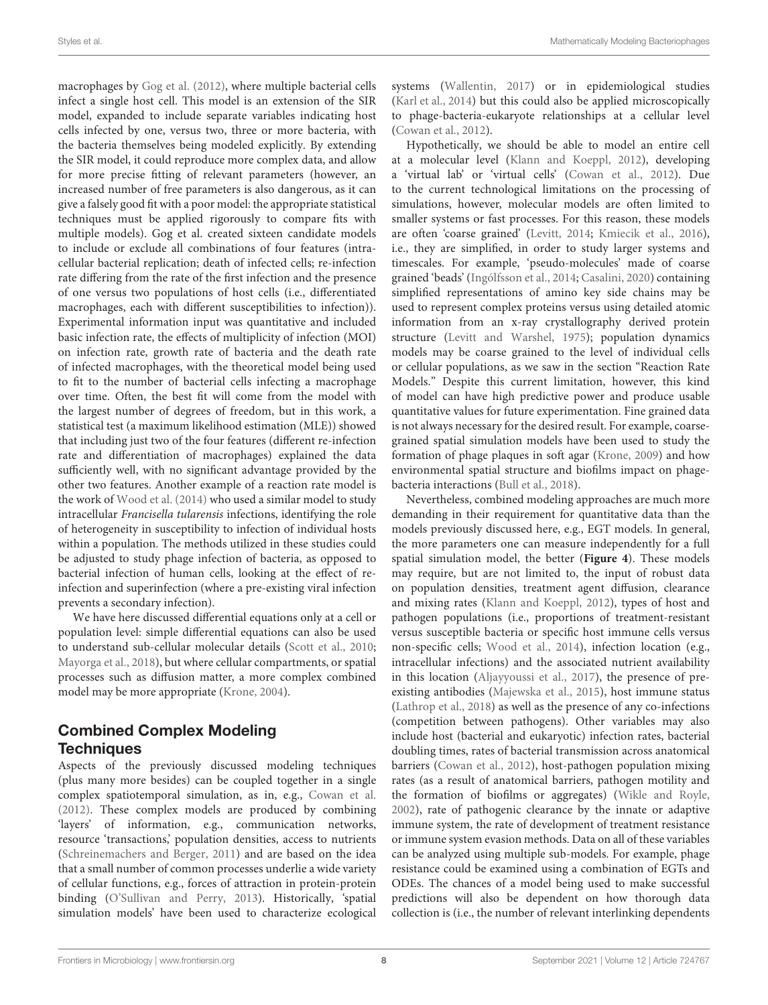macrophages by [Gog et al.](#page-15-22) [\(2012\)](#page-15-22), where multiple bacterial cells infect a single host cell. This model is an extension of the SIR model, expanded to include separate variables indicating host cells infected by one, versus two, three or more bacteria, with the bacteria themselves being modeled explicitly. By extending the SIR model, it could reproduce more complex data, and allow for more precise fitting of relevant parameters (however, an increased number of free parameters is also dangerous, as it can give a falsely good fit with a poor model: the appropriate statistical techniques must be applied rigorously to compare fits with multiple models). Gog et al. created sixteen candidate models to include or exclude all combinations of four features (intracellular bacterial replication; death of infected cells; re-infection rate differing from the rate of the first infection and the presence of one versus two populations of host cells (i.e., differentiated macrophages, each with different susceptibilities to infection)). Experimental information input was quantitative and included basic infection rate, the effects of multiplicity of infection (MOI) on infection rate, growth rate of bacteria and the death rate of infected macrophages, with the theoretical model being used to fit to the number of bacterial cells infecting a macrophage over time. Often, the best fit will come from the model with the largest number of degrees of freedom, but in this work, a statistical test (a maximum likelihood estimation (MLE)) showed that including just two of the four features (different re-infection rate and differentiation of macrophages) explained the data sufficiently well, with no significant advantage provided by the other two features. Another example of a reaction rate model is the work of [Wood et al.](#page-16-27) [\(2014\)](#page-16-27) who used a similar model to study intracellular Francisella tularensis infections, identifying the role of heterogeneity in susceptibility to infection of individual hosts within a population. The methods utilized in these studies could be adjusted to study phage infection of bacteria, as opposed to bacterial infection of human cells, looking at the effect of reinfection and superinfection (where a pre-existing viral infection prevents a secondary infection).

We have here discussed differential equations only at a cell or population level: simple differential equations can also be used to understand sub-cellular molecular details [\(Scott et al.,](#page-16-28) [2010;](#page-16-28) [Mayorga et al.,](#page-15-23) [2018\)](#page-15-23), but where cellular compartments, or spatial processes such as diffusion matter, a more complex combined model may be more appropriate [\(Krone,](#page-15-24) [2004\)](#page-15-24).

## Combined Complex Modeling **Techniques**

Aspects of the previously discussed modeling techniques (plus many more besides) can be coupled together in a single complex spatiotemporal simulation, as in, e.g., [Cowan et al.](#page-14-18) [\(2012\)](#page-14-18). These complex models are produced by combining 'layers' of information, e.g., communication networks, resource 'transactions,' population densities, access to nutrients [\(Schreinemachers and Berger,](#page-16-29) [2011\)](#page-16-29) and are based on the idea that a small number of common processes underlie a wide variety of cellular functions, e.g., forces of attraction in protein-protein binding [\(O'Sullivan and Perry,](#page-15-25) [2013\)](#page-15-25). Historically, 'spatial simulation models' have been used to characterize ecological

systems [\(Wallentin,](#page-16-30) [2017\)](#page-16-30) or in epidemiological studies [\(Karl et al.,](#page-15-26) [2014\)](#page-15-26) but this could also be applied microscopically to phage-bacteria-eukaryote relationships at a cellular level [\(Cowan et al.,](#page-14-18) [2012\)](#page-14-18).

Hypothetically, we should be able to model an entire cell at a molecular level [\(Klann and Koeppl,](#page-15-21) [2012\)](#page-15-21), developing a 'virtual lab' or 'virtual cells' [\(Cowan et al.,](#page-14-18) [2012\)](#page-14-18). Due to the current technological limitations on the processing of simulations, however, molecular models are often limited to smaller systems or fast processes. For this reason, these models are often 'coarse grained' [\(Levitt,](#page-15-27) [2014;](#page-15-27) [Kmiecik et al.,](#page-15-28) [2016\)](#page-15-28), i.e., they are simplified, in order to study larger systems and timescales. For example, 'pseudo-molecules' made of coarse grained 'beads' [\(Ingólfsson et al.,](#page-15-29) [2014;](#page-15-29) [Casalini,](#page-14-19) [2020\)](#page-14-19) containing simplified representations of amino key side chains may be used to represent complex proteins versus using detailed atomic information from an x-ray crystallography derived protein structure [\(Levitt and Warshel,](#page-15-30) [1975\)](#page-15-30); population dynamics models may be coarse grained to the level of individual cells or cellular populations, as we saw in the section "Reaction Rate Models." Despite this current limitation, however, this kind of model can have high predictive power and produce usable quantitative values for future experimentation. Fine grained data is not always necessary for the desired result. For example, coarsegrained spatial simulation models have been used to study the formation of phage plaques in soft agar [\(Krone,](#page-15-31) [2009\)](#page-15-31) and how environmental spatial structure and biofilms impact on phagebacteria interactions [\(Bull et al.,](#page-14-20) [2018\)](#page-14-20).

Nevertheless, combined modeling approaches are much more demanding in their requirement for quantitative data than the models previously discussed here, e.g., EGT models. In general, the more parameters one can measure independently for a full spatial simulation model, the better (**[Figure 4](#page-9-0)**). These models may require, but are not limited to, the input of robust data on population densities, treatment agent diffusion, clearance and mixing rates [\(Klann and Koeppl,](#page-15-21) [2012\)](#page-15-21), types of host and pathogen populations (i.e., proportions of treatment-resistant versus susceptible bacteria or specific host immune cells versus non-specific cells; [Wood et al.,](#page-16-27) [2014\)](#page-16-27), infection location (e.g., intracellular infections) and the associated nutrient availability in this location [\(Aljayyoussi et al.,](#page-14-12) [2017\)](#page-14-12), the presence of preexisting antibodies [\(Majewska et al.,](#page-15-32) [2015\)](#page-15-32), host immune status [\(Lathrop et al.,](#page-15-33) [2018\)](#page-15-33) as well as the presence of any co-infections (competition between pathogens). Other variables may also include host (bacterial and eukaryotic) infection rates, bacterial doubling times, rates of bacterial transmission across anatomical barriers [\(Cowan et al.,](#page-14-18) [2012\)](#page-14-18), host-pathogen population mixing rates (as a result of anatomical barriers, pathogen motility and the formation of biofilms or aggregates) [\(Wikle and Royle,](#page-16-31) [2002\)](#page-16-31), rate of pathogenic clearance by the innate or adaptive immune system, the rate of development of treatment resistance or immune system evasion methods. Data on all of these variables can be analyzed using multiple sub-models. For example, phage resistance could be examined using a combination of EGTs and ODEs. The chances of a model being used to make successful predictions will also be dependent on how thorough data collection is (i.e., the number of relevant interlinking dependents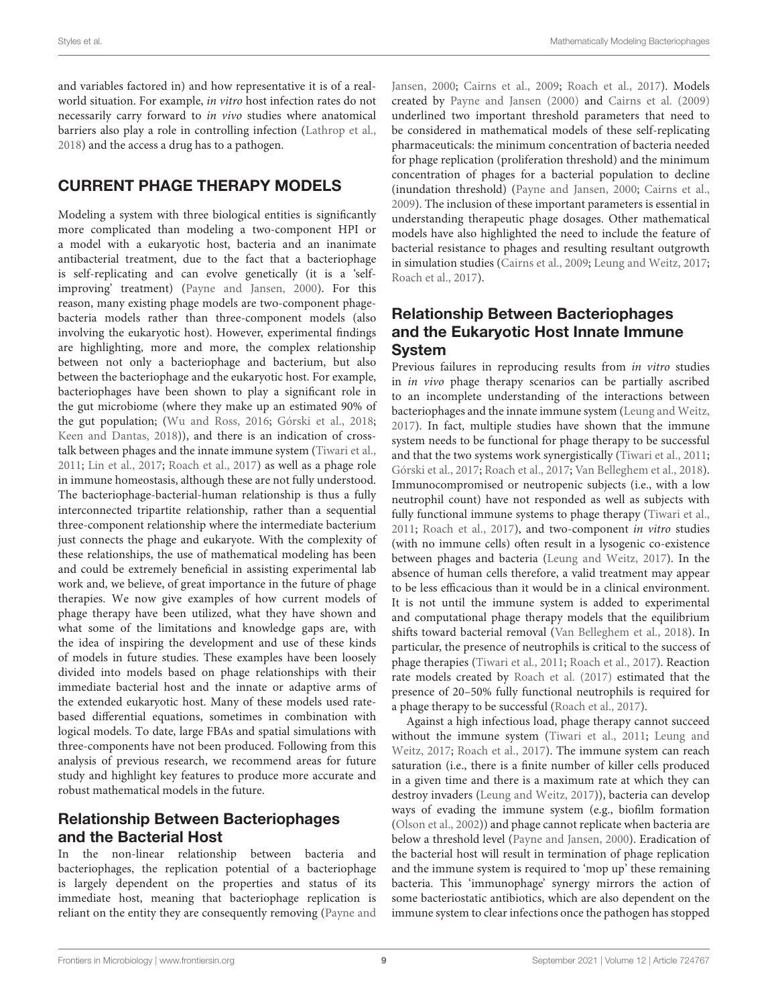and variables factored in) and how representative it is of a realworld situation. For example, in vitro host infection rates do not necessarily carry forward to in vivo studies where anatomical barriers also play a role in controlling infection [\(Lathrop et al.,](#page-15-33) [2018\)](#page-15-33) and the access a drug has to a pathogen.

## CURRENT PHAGE THERAPY MODELS

Modeling a system with three biological entities is significantly more complicated than modeling a two-component HPI or a model with a eukaryotic host, bacteria and an inanimate antibacterial treatment, due to the fact that a bacteriophage is self-replicating and can evolve genetically (it is a 'selfimproving' treatment) [\(Payne and Jansen,](#page-16-3) [2000\)](#page-16-3). For this reason, many existing phage models are two-component phagebacteria models rather than three-component models (also involving the eukaryotic host). However, experimental findings are highlighting, more and more, the complex relationship between not only a bacteriophage and bacterium, but also between the bacteriophage and the eukaryotic host. For example, bacteriophages have been shown to play a significant role in the gut microbiome (where they make up an estimated 90% of the gut population; [\(Wu and Ross,](#page-16-32) [2016;](#page-16-32) [Górski et al.,](#page-15-34) [2018;](#page-15-34) [Keen and Dantas,](#page-15-14) [2018\)](#page-15-14)), and there is an indication of crosstalk between phages and the innate immune system [\(Tiwari et al.,](#page-16-33) [2011;](#page-16-33) [Lin et al.,](#page-15-1) [2017;](#page-15-1) [Roach et al.,](#page-16-10) [2017\)](#page-16-10) as well as a phage role in immune homeostasis, although these are not fully understood. The bacteriophage-bacterial-human relationship is thus a fully interconnected tripartite relationship, rather than a sequential three-component relationship where the intermediate bacterium just connects the phage and eukaryote. With the complexity of these relationships, the use of mathematical modeling has been and could be extremely beneficial in assisting experimental lab work and, we believe, of great importance in the future of phage therapies. We now give examples of how current models of phage therapy have been utilized, what they have shown and what some of the limitations and knowledge gaps are, with the idea of inspiring the development and use of these kinds of models in future studies. These examples have been loosely divided into models based on phage relationships with their immediate bacterial host and the innate or adaptive arms of the extended eukaryotic host. Many of these models used ratebased differential equations, sometimes in combination with logical models. To date, large FBAs and spatial simulations with three-components have not been produced. Following from this analysis of previous research, we recommend areas for future study and highlight key features to produce more accurate and robust mathematical models in the future.

## Relationship Between Bacteriophages and the Bacterial Host

In the non-linear relationship between bacteria and bacteriophages, the replication potential of a bacteriophage is largely dependent on the properties and status of its immediate host, meaning that bacteriophage replication is reliant on the entity they are consequently removing [\(Payne and](#page-16-3)

[Jansen,](#page-16-3) [2000;](#page-16-3) [Cairns et al.,](#page-14-6) [2009;](#page-14-6) [Roach et al.,](#page-16-10) [2017\)](#page-16-10). Models created by [Payne and Jansen](#page-16-3) [\(2000\)](#page-16-3) and [Cairns et al.](#page-14-6) [\(2009\)](#page-14-6) underlined two important threshold parameters that need to be considered in mathematical models of these self-replicating pharmaceuticals: the minimum concentration of bacteria needed for phage replication (proliferation threshold) and the minimum concentration of phages for a bacterial population to decline (inundation threshold) [\(Payne and Jansen,](#page-16-3) [2000;](#page-16-3) [Cairns et al.,](#page-14-6) [2009\)](#page-14-6). The inclusion of these important parameters is essential in understanding therapeutic phage dosages. Other mathematical models have also highlighted the need to include the feature of bacterial resistance to phages and resulting resultant outgrowth in simulation studies [\(Cairns et al.,](#page-14-6) [2009;](#page-14-6) [Leung and Weitz,](#page-15-35) [2017;](#page-15-35) [Roach et al.,](#page-16-10) [2017\)](#page-16-10).

## Relationship Between Bacteriophages and the Eukaryotic Host Innate Immune System

Previous failures in reproducing results from *in vitro* studies in in vivo phage therapy scenarios can be partially ascribed to an incomplete understanding of the interactions between bacteriophages and the innate immune system [\(Leung and Weitz,](#page-15-35) [2017\)](#page-15-35). In fact, multiple studies have shown that the immune system needs to be functional for phage therapy to be successful and that the two systems work synergistically [\(Tiwari et al.,](#page-16-33) [2011;](#page-16-33) [Górski et al.,](#page-15-36) [2017;](#page-15-36) [Roach et al.,](#page-16-10) [2017;](#page-16-10) [Van Belleghem et al.,](#page-16-34) [2018\)](#page-16-34). Immunocompromised or neutropenic subjects (i.e., with a low neutrophil count) have not responded as well as subjects with fully functional immune systems to phage therapy [\(Tiwari et al.,](#page-16-33) [2011;](#page-16-33) [Roach et al.,](#page-16-10) [2017\)](#page-16-10), and two-component in vitro studies (with no immune cells) often result in a lysogenic co-existence between phages and bacteria [\(Leung and Weitz,](#page-15-35) [2017\)](#page-15-35). In the absence of human cells therefore, a valid treatment may appear to be less efficacious than it would be in a clinical environment. It is not until the immune system is added to experimental and computational phage therapy models that the equilibrium shifts toward bacterial removal [\(Van Belleghem et al.,](#page-16-34) [2018\)](#page-16-34). In particular, the presence of neutrophils is critical to the success of phage therapies [\(Tiwari et al.,](#page-16-33) [2011;](#page-16-33) [Roach et al.,](#page-16-10) [2017\)](#page-16-10). Reaction rate models created by [Roach et al.](#page-16-10) [\(2017\)](#page-16-10) estimated that the presence of 20–50% fully functional neutrophils is required for a phage therapy to be successful [\(Roach et al.,](#page-16-10) [2017\)](#page-16-10).

Against a high infectious load, phage therapy cannot succeed without the immune system [\(Tiwari et al.,](#page-16-33) [2011;](#page-16-33) [Leung and](#page-15-35) [Weitz,](#page-15-35) [2017;](#page-15-35) [Roach et al.,](#page-16-10) [2017\)](#page-16-10). The immune system can reach saturation (i.e., there is a finite number of killer cells produced in a given time and there is a maximum rate at which they can destroy invaders [\(Leung and Weitz,](#page-15-35) [2017\)](#page-15-35)), bacteria can develop ways of evading the immune system (e.g., biofilm formation [\(Olson et al.,](#page-16-35) [2002\)](#page-16-35)) and phage cannot replicate when bacteria are below a threshold level [\(Payne and Jansen,](#page-16-3) [2000\)](#page-16-3). Eradication of the bacterial host will result in termination of phage replication and the immune system is required to 'mop up' these remaining bacteria. This 'immunophage' synergy mirrors the action of some bacteriostatic antibiotics, which are also dependent on the immune system to clear infections once the pathogen has stopped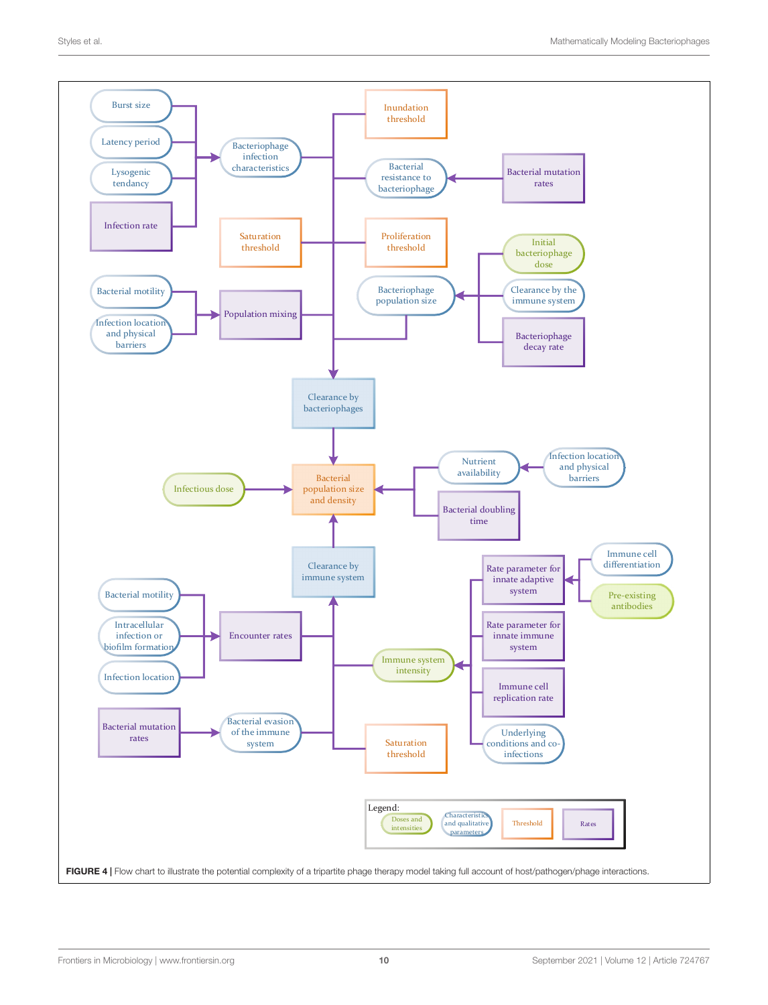<span id="page-9-0"></span>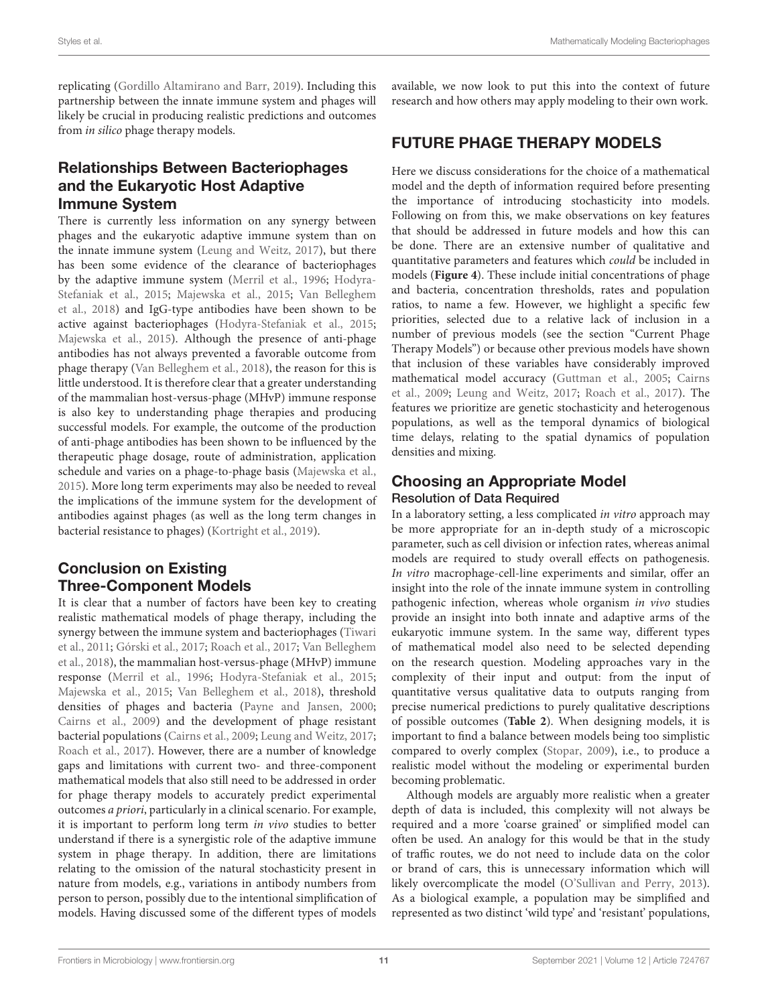replicating [\(Gordillo Altamirano and Barr,](#page-15-7) [2019\)](#page-15-7). Including this partnership between the innate immune system and phages will likely be crucial in producing realistic predictions and outcomes from in silico phage therapy models.

## Relationships Between Bacteriophages and the Eukaryotic Host Adaptive Immune System

There is currently less information on any synergy between phages and the eukaryotic adaptive immune system than on the innate immune system [\(Leung and Weitz,](#page-15-35) [2017\)](#page-15-35), but there has been some evidence of the clearance of bacteriophages by the adaptive immune system [\(Merril et al.,](#page-15-37) [1996;](#page-15-37) [Hodyra-](#page-15-38)[Stefaniak et al.,](#page-15-38) [2015;](#page-15-38) [Majewska et al.,](#page-15-32) [2015;](#page-15-32) [Van Belleghem](#page-16-34) [et al.,](#page-16-34) [2018\)](#page-16-34) and IgG-type antibodies have been shown to be active against bacteriophages [\(Hodyra-Stefaniak et al.,](#page-15-38) [2015;](#page-15-38) [Majewska et al.,](#page-15-32) [2015\)](#page-15-32). Although the presence of anti-phage antibodies has not always prevented a favorable outcome from phage therapy [\(Van Belleghem et al.,](#page-16-34) [2018\)](#page-16-34), the reason for this is little understood. It is therefore clear that a greater understanding of the mammalian host-versus-phage (MHvP) immune response is also key to understanding phage therapies and producing successful models. For example, the outcome of the production of anti-phage antibodies has been shown to be influenced by the therapeutic phage dosage, route of administration, application schedule and varies on a phage-to-phage basis [\(Majewska et al.,](#page-15-32) [2015\)](#page-15-32). More long term experiments may also be needed to reveal the implications of the immune system for the development of antibodies against phages (as well as the long term changes in bacterial resistance to phages) [\(Kortright et al.,](#page-15-8) [2019\)](#page-15-8).

## Conclusion on Existing Three-Component Models

It is clear that a number of factors have been key to creating realistic mathematical models of phage therapy, including the synergy between the immune system and bacteriophages [\(Tiwari](#page-16-33) [et al.,](#page-16-33) [2011;](#page-16-33) [Górski et al.,](#page-15-36) [2017;](#page-15-36) [Roach et al.,](#page-16-10) [2017;](#page-16-10) [Van Belleghem](#page-16-34) [et al.,](#page-16-34) [2018\)](#page-16-34), the mammalian host-versus-phage (MHvP) immune response [\(Merril et al.,](#page-15-37) [1996;](#page-15-37) [Hodyra-Stefaniak et al.,](#page-15-38) [2015;](#page-15-38) [Majewska et al.,](#page-15-32) [2015;](#page-15-32) [Van Belleghem et al.,](#page-16-34) [2018\)](#page-16-34), threshold densities of phages and bacteria [\(Payne and Jansen,](#page-16-3) [2000;](#page-16-3) [Cairns et al.,](#page-14-6) [2009\)](#page-14-6) and the development of phage resistant bacterial populations [\(Cairns et al.,](#page-14-6) [2009;](#page-14-6) [Leung and Weitz,](#page-15-35) [2017;](#page-15-35) [Roach et al.,](#page-16-10) [2017\)](#page-16-10). However, there are a number of knowledge gaps and limitations with current two- and three-component mathematical models that also still need to be addressed in order for phage therapy models to accurately predict experimental outcomes a priori, particularly in a clinical scenario. For example, it is important to perform long term in vivo studies to better understand if there is a synergistic role of the adaptive immune system in phage therapy. In addition, there are limitations relating to the omission of the natural stochasticity present in nature from models, e.g., variations in antibody numbers from person to person, possibly due to the intentional simplification of models. Having discussed some of the different types of models available, we now look to put this into the context of future research and how others may apply modeling to their own work.

## FUTURE PHAGE THERAPY MODELS

Here we discuss considerations for the choice of a mathematical model and the depth of information required before presenting the importance of introducing stochasticity into models. Following on from this, we make observations on key features that should be addressed in future models and how this can be done. There are an extensive number of qualitative and quantitative parameters and features which could be included in models (**[Figure 4](#page-9-0)**). These include initial concentrations of phage and bacteria, concentration thresholds, rates and population ratios, to name a few. However, we highlight a specific few priorities, selected due to a relative lack of inclusion in a number of previous models (see the section "Current Phage Therapy Models") or because other previous models have shown that inclusion of these variables have considerably improved mathematical model accuracy [\(Guttman et al.,](#page-15-39) [2005;](#page-15-39) [Cairns](#page-14-6) [et al.,](#page-14-6) [2009;](#page-14-6) [Leung and Weitz,](#page-15-35) [2017;](#page-15-35) [Roach et al.,](#page-16-10) [2017\)](#page-16-10). The features we prioritize are genetic stochasticity and heterogenous populations, as well as the temporal dynamics of biological time delays, relating to the spatial dynamics of population densities and mixing.

## Choosing an Appropriate Model Resolution of Data Required

In a laboratory setting, a less complicated in vitro approach may be more appropriate for an in-depth study of a microscopic parameter, such as cell division or infection rates, whereas animal models are required to study overall effects on pathogenesis. In vitro macrophage-cell-line experiments and similar, offer an insight into the role of the innate immune system in controlling pathogenic infection, whereas whole organism in vivo studies provide an insight into both innate and adaptive arms of the eukaryotic immune system. In the same way, different types of mathematical model also need to be selected depending on the research question. Modeling approaches vary in the complexity of their input and output: from the input of quantitative versus qualitative data to outputs ranging from precise numerical predictions to purely qualitative descriptions of possible outcomes (**[Table 2](#page-11-0)**). When designing models, it is important to find a balance between models being too simplistic compared to overly complex [\(Stopar,](#page-16-6) [2009\)](#page-16-6), i.e., to produce a realistic model without the modeling or experimental burden becoming problematic.

Although models are arguably more realistic when a greater depth of data is included, this complexity will not always be required and a more 'coarse grained' or simplified model can often be used. An analogy for this would be that in the study of traffic routes, we do not need to include data on the color or brand of cars, this is unnecessary information which will likely overcomplicate the model [\(O'Sullivan and Perry,](#page-15-25) [2013\)](#page-15-25). As a biological example, a population may be simplified and represented as two distinct 'wild type' and 'resistant' populations,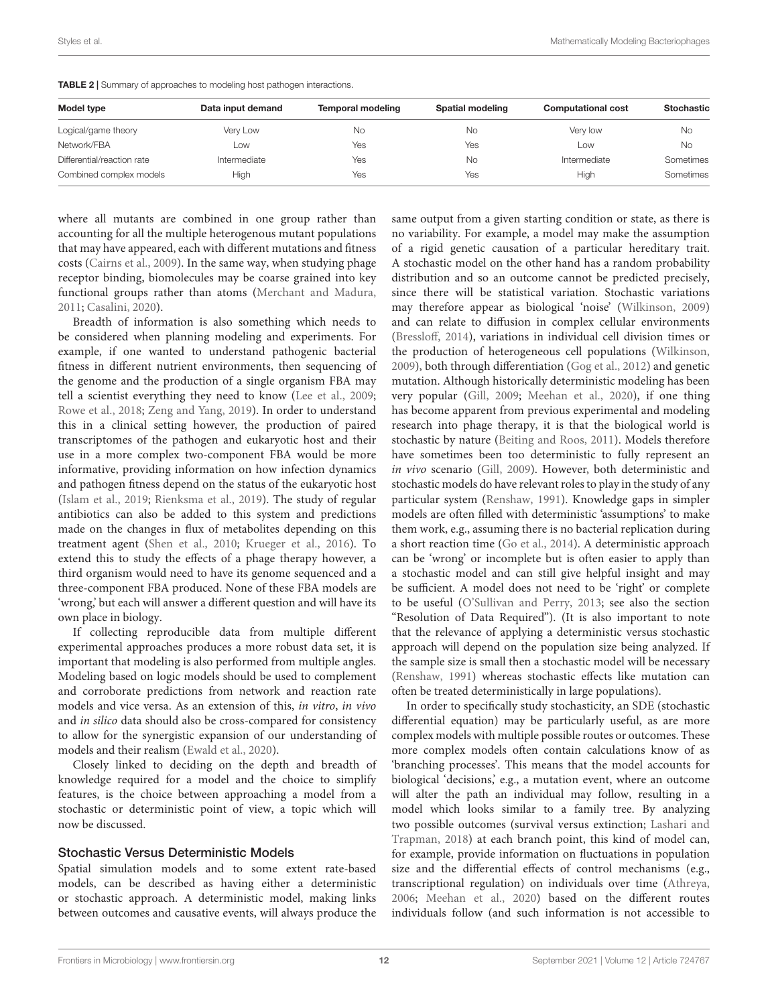| Model type                 | Data input demand | <b>Temporal modeling</b> | Spatial modeling | <b>Computational cost</b> | Stochastic |
|----------------------------|-------------------|--------------------------|------------------|---------------------------|------------|
| Logical/game theory        | Very Low          | No                       | No               | Very low                  | No         |
| Network/FBA                | Low               | Yes                      | Yes              | Low                       | No         |
| Differential/reaction rate | Intermediate      | Yes                      | No               | Intermediate              | Sometimes  |
| Combined complex models    | High              | Yes                      | Yes              | High                      | Sometimes  |

<span id="page-11-0"></span>TABLE 2 | Summary of approaches to modeling host pathogen interactions.

where all mutants are combined in one group rather than accounting for all the multiple heterogenous mutant populations that may have appeared, each with different mutations and fitness costs [\(Cairns et al.,](#page-14-6) [2009\)](#page-14-6). In the same way, when studying phage receptor binding, biomolecules may be coarse grained into key functional groups rather than atoms [\(Merchant and Madura,](#page-15-40) [2011;](#page-15-40) [Casalini,](#page-14-19) [2020\)](#page-14-19).

Breadth of information is also something which needs to be considered when planning modeling and experiments. For example, if one wanted to understand pathogenic bacterial fitness in different nutrient environments, then sequencing of the genome and the production of a single organism FBA may tell a scientist everything they need to know [\(Lee et al.,](#page-15-18) [2009;](#page-15-18) [Rowe et al.,](#page-16-18) [2018;](#page-16-18) [Zeng and Yang,](#page-16-24) [2019\)](#page-16-24). In order to understand this in a clinical setting however, the production of paired transcriptomes of the pathogen and eukaryotic host and their use in a more complex two-component FBA would be more informative, providing information on how infection dynamics and pathogen fitness depend on the status of the eukaryotic host [\(Islam et al.,](#page-15-13) [2019;](#page-15-13) [Rienksma et al.,](#page-16-13) [2019\)](#page-16-13). The study of regular antibiotics can also be added to this system and predictions made on the changes in flux of metabolites depending on this treatment agent [\(Shen et al.,](#page-16-19) [2010;](#page-16-19) [Krueger et al.,](#page-15-16) [2016\)](#page-15-16). To extend this to study the effects of a phage therapy however, a third organism would need to have its genome sequenced and a three-component FBA produced. None of these FBA models are 'wrong,' but each will answer a different question and will have its own place in biology.

If collecting reproducible data from multiple different experimental approaches produces a more robust data set, it is important that modeling is also performed from multiple angles. Modeling based on logic models should be used to complement and corroborate predictions from network and reaction rate models and vice versa. As an extension of this, in vitro, in vivo and in silico data should also be cross-compared for consistency to allow for the synergistic expansion of our understanding of models and their realism [\(Ewald et al.,](#page-14-17) [2020\)](#page-14-17).

Closely linked to deciding on the depth and breadth of knowledge required for a model and the choice to simplify features, is the choice between approaching a model from a stochastic or deterministic point of view, a topic which will now be discussed.

#### Stochastic Versus Deterministic Models

Spatial simulation models and to some extent rate-based models, can be described as having either a deterministic or stochastic approach. A deterministic model, making links between outcomes and causative events, will always produce the same output from a given starting condition or state, as there is no variability. For example, a model may make the assumption of a rigid genetic causation of a particular hereditary trait. A stochastic model on the other hand has a random probability distribution and so an outcome cannot be predicted precisely, since there will be statistical variation. Stochastic variations may therefore appear as biological 'noise' [\(Wilkinson,](#page-16-36) [2009\)](#page-16-36) and can relate to diffusion in complex cellular environments [\(Bressloff,](#page-14-21) [2014\)](#page-14-21), variations in individual cell division times or the production of heterogeneous cell populations [\(Wilkinson,](#page-16-36) [2009\)](#page-16-36), both through differentiation [\(Gog et al.,](#page-15-22) [2012\)](#page-15-22) and genetic mutation. Although historically deterministic modeling has been very popular [\(Gill,](#page-14-22) [2009;](#page-14-22) [Meehan et al.,](#page-15-41) [2020\)](#page-15-41), if one thing has become apparent from previous experimental and modeling research into phage therapy, it is that the biological world is stochastic by nature [\(Beiting and Roos,](#page-14-23) [2011\)](#page-14-23). Models therefore have sometimes been too deterministic to fully represent an in vivo scenario [\(Gill,](#page-14-22) [2009\)](#page-14-22). However, both deterministic and stochastic models do have relevant roles to play in the study of any particular system [\(Renshaw,](#page-16-26) [1991\)](#page-16-26). Knowledge gaps in simpler models are often filled with deterministic 'assumptions' to make them work, e.g., assuming there is no bacterial replication during a short reaction time [\(Go et al.,](#page-14-24) [2014\)](#page-14-24). A deterministic approach can be 'wrong' or incomplete but is often easier to apply than a stochastic model and can still give helpful insight and may be sufficient. A model does not need to be 'right' or complete to be useful [\(O'Sullivan and Perry,](#page-15-25) [2013;](#page-15-25) see also the section "Resolution of Data Required"). (It is also important to note that the relevance of applying a deterministic versus stochastic approach will depend on the population size being analyzed. If the sample size is small then a stochastic model will be necessary [\(Renshaw,](#page-16-26) [1991\)](#page-16-26) whereas stochastic effects like mutation can often be treated deterministically in large populations).

In order to specifically study stochasticity, an SDE (stochastic differential equation) may be particularly useful, as are more complex models with multiple possible routes or outcomes. These more complex models often contain calculations know of as 'branching processes'. This means that the model accounts for biological 'decisions,' e.g., a mutation event, where an outcome will alter the path an individual may follow, resulting in a model which looks similar to a family tree. By analyzing two possible outcomes (survival versus extinction; [Lashari and](#page-15-42) [Trapman,](#page-15-42) [2018\)](#page-15-42) at each branch point, this kind of model can, for example, provide information on fluctuations in population size and the differential effects of control mechanisms (e.g., transcriptional regulation) on individuals over time [\(Athreya,](#page-14-25) [2006;](#page-14-25) [Meehan et al.,](#page-15-41) [2020\)](#page-15-41) based on the different routes individuals follow (and such information is not accessible to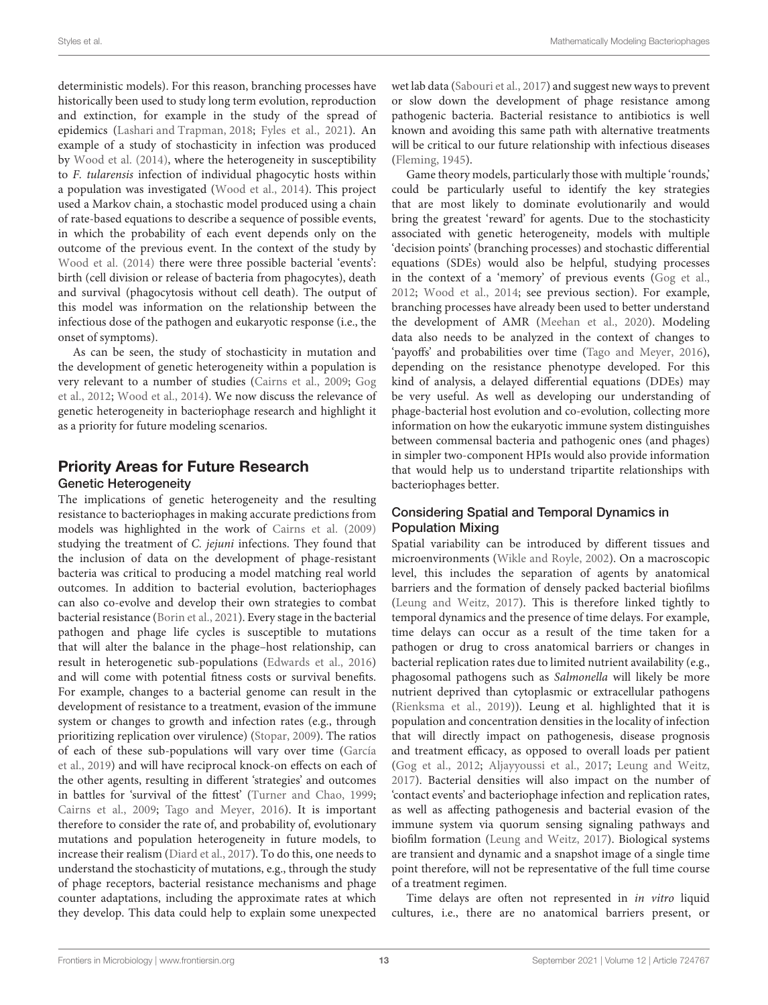deterministic models). For this reason, branching processes have historically been used to study long term evolution, reproduction and extinction, for example in the study of the spread of epidemics [\(Lashari and Trapman,](#page-15-42) [2018;](#page-15-42) [Fyles et al.,](#page-14-26) [2021\)](#page-14-26). An example of a study of stochasticity in infection was produced by [Wood et al.](#page-16-27) [\(2014\)](#page-16-27), where the heterogeneity in susceptibility to F. tularensis infection of individual phagocytic hosts within a population was investigated [\(Wood et al.,](#page-16-27) [2014\)](#page-16-27). This project used a Markov chain, a stochastic model produced using a chain of rate-based equations to describe a sequence of possible events, in which the probability of each event depends only on the outcome of the previous event. In the context of the study by [Wood et al.](#page-16-27) [\(2014\)](#page-16-27) there were three possible bacterial 'events': birth (cell division or release of bacteria from phagocytes), death and survival (phagocytosis without cell death). The output of this model was information on the relationship between the infectious dose of the pathogen and eukaryotic response (i.e., the onset of symptoms).

As can be seen, the study of stochasticity in mutation and the development of genetic heterogeneity within a population is very relevant to a number of studies [\(Cairns et al.,](#page-14-6) [2009;](#page-14-6) [Gog](#page-15-22) [et al.,](#page-15-22) [2012;](#page-15-22) [Wood et al.,](#page-16-27) [2014\)](#page-16-27). We now discuss the relevance of genetic heterogeneity in bacteriophage research and highlight it as a priority for future modeling scenarios.

## Priority Areas for Future Research Genetic Heterogeneity

The implications of genetic heterogeneity and the resulting resistance to bacteriophages in making accurate predictions from models was highlighted in the work of [Cairns et al.](#page-14-6) [\(2009\)](#page-14-6) studying the treatment of C. jejuni infections. They found that the inclusion of data on the development of phage-resistant bacteria was critical to producing a model matching real world outcomes. In addition to bacterial evolution, bacteriophages can also co-evolve and develop their own strategies to combat bacterial resistance [\(Borin et al.,](#page-14-8) [2021\)](#page-14-8). Every stage in the bacterial pathogen and phage life cycles is susceptible to mutations that will alter the balance in the phage–host relationship, can result in heterogenetic sub-populations [\(Edwards et al.,](#page-14-27) [2016\)](#page-14-27) and will come with potential fitness costs or survival benefits. For example, changes to a bacterial genome can result in the development of resistance to a treatment, evasion of the immune system or changes to growth and infection rates (e.g., through prioritizing replication over virulence) [\(Stopar,](#page-16-6) [2009\)](#page-16-6). The ratios of each of these sub-populations will vary over time [\(García](#page-14-28) [et al.,](#page-14-28) [2019\)](#page-14-28) and will have reciprocal knock-on effects on each of the other agents, resulting in different 'strategies' and outcomes in battles for 'survival of the fittest' [\(Turner and Chao,](#page-16-11) [1999;](#page-16-11) [Cairns et al.,](#page-14-6) [2009;](#page-14-6) [Tago and Meyer,](#page-16-12) [2016\)](#page-16-12). It is important therefore to consider the rate of, and probability of, evolutionary mutations and population heterogeneity in future models, to increase their realism [\(Diard et al.,](#page-14-29) [2017\)](#page-14-29). To do this, one needs to understand the stochasticity of mutations, e.g., through the study of phage receptors, bacterial resistance mechanisms and phage counter adaptations, including the approximate rates at which they develop. This data could help to explain some unexpected

wet lab data [\(Sabouri et al.,](#page-16-5) [2017\)](#page-16-5) and suggest new ways to prevent or slow down the development of phage resistance among pathogenic bacteria. Bacterial resistance to antibiotics is well known and avoiding this same path with alternative treatments will be critical to our future relationship with infectious diseases [\(Fleming,](#page-14-1) [1945\)](#page-14-1).

Game theory models, particularly those with multiple 'rounds,' could be particularly useful to identify the key strategies that are most likely to dominate evolutionarily and would bring the greatest 'reward' for agents. Due to the stochasticity associated with genetic heterogeneity, models with multiple 'decision points' (branching processes) and stochastic differential equations (SDEs) would also be helpful, studying processes in the context of a 'memory' of previous events [\(Gog et al.,](#page-15-22) [2012;](#page-15-22) [Wood et al.,](#page-16-27) [2014;](#page-16-27) see previous section). For example, branching processes have already been used to better understand the development of AMR [\(Meehan et al.,](#page-15-41) [2020\)](#page-15-41). Modeling data also needs to be analyzed in the context of changes to 'payoffs' and probabilities over time [\(Tago and Meyer,](#page-16-12) [2016\)](#page-16-12), depending on the resistance phenotype developed. For this kind of analysis, a delayed differential equations (DDEs) may be very useful. As well as developing our understanding of phage-bacterial host evolution and co-evolution, collecting more information on how the eukaryotic immune system distinguishes between commensal bacteria and pathogenic ones (and phages) in simpler two-component HPIs would also provide information that would help us to understand tripartite relationships with bacteriophages better.

## Considering Spatial and Temporal Dynamics in Population Mixing

Spatial variability can be introduced by different tissues and microenvironments [\(Wikle and Royle,](#page-16-31) [2002\)](#page-16-31). On a macroscopic level, this includes the separation of agents by anatomical barriers and the formation of densely packed bacterial biofilms [\(Leung and Weitz,](#page-15-35) [2017\)](#page-15-35). This is therefore linked tightly to temporal dynamics and the presence of time delays. For example, time delays can occur as a result of the time taken for a pathogen or drug to cross anatomical barriers or changes in bacterial replication rates due to limited nutrient availability (e.g., phagosomal pathogens such as Salmonella will likely be more nutrient deprived than cytoplasmic or extracellular pathogens [\(Rienksma et al.,](#page-16-13) [2019\)](#page-16-13)). Leung et al. highlighted that it is population and concentration densities in the locality of infection that will directly impact on pathogenesis, disease prognosis and treatment efficacy, as opposed to overall loads per patient [\(Gog et al.,](#page-15-22) [2012;](#page-15-22) [Aljayyoussi et al.,](#page-14-12) [2017;](#page-14-12) [Leung and Weitz,](#page-15-35) [2017\)](#page-15-35). Bacterial densities will also impact on the number of 'contact events' and bacteriophage infection and replication rates, as well as affecting pathogenesis and bacterial evasion of the immune system via quorum sensing signaling pathways and biofilm formation [\(Leung and Weitz,](#page-15-35) [2017\)](#page-15-35). Biological systems are transient and dynamic and a snapshot image of a single time point therefore, will not be representative of the full time course of a treatment regimen.

Time delays are often not represented in in vitro liquid cultures, i.e., there are no anatomical barriers present, or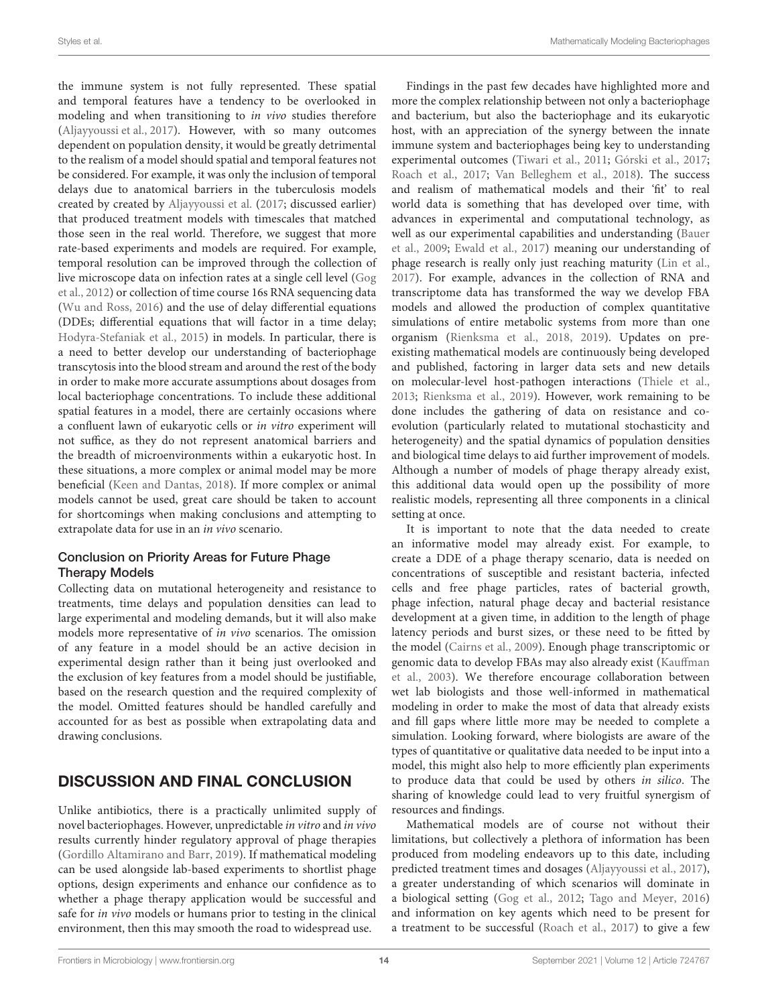the immune system is not fully represented. These spatial and temporal features have a tendency to be overlooked in modeling and when transitioning to in vivo studies therefore [\(Aljayyoussi et al.,](#page-14-12) [2017\)](#page-14-12). However, with so many outcomes dependent on population density, it would be greatly detrimental to the realism of a model should spatial and temporal features not be considered. For example, it was only the inclusion of temporal delays due to anatomical barriers in the tuberculosis models created by created by [Aljayyoussi et al.](#page-14-12) [\(2017;](#page-14-12) discussed earlier) that produced treatment models with timescales that matched those seen in the real world. Therefore, we suggest that more rate-based experiments and models are required. For example, temporal resolution can be improved through the collection of live microscope data on infection rates at a single cell level [\(Gog](#page-15-22) [et al.,](#page-15-22) [2012\)](#page-15-22) or collection of time course 16s RNA sequencing data [\(Wu and Ross,](#page-16-32) [2016\)](#page-16-32) and the use of delay differential equations (DDEs; differential equations that will factor in a time delay; [Hodyra-Stefaniak et al.,](#page-15-38) [2015\)](#page-15-38) in models. In particular, there is a need to better develop our understanding of bacteriophage transcytosis into the blood stream and around the rest of the body in order to make more accurate assumptions about dosages from local bacteriophage concentrations. To include these additional spatial features in a model, there are certainly occasions where a confluent lawn of eukaryotic cells or in vitro experiment will not suffice, as they do not represent anatomical barriers and the breadth of microenvironments within a eukaryotic host. In these situations, a more complex or animal model may be more beneficial [\(Keen and Dantas,](#page-15-14) [2018\)](#page-15-14). If more complex or animal models cannot be used, great care should be taken to account for shortcomings when making conclusions and attempting to extrapolate data for use in an in vivo scenario.

#### Conclusion on Priority Areas for Future Phage Therapy Models

Collecting data on mutational heterogeneity and resistance to treatments, time delays and population densities can lead to large experimental and modeling demands, but it will also make models more representative of in vivo scenarios. The omission of any feature in a model should be an active decision in experimental design rather than it being just overlooked and the exclusion of key features from a model should be justifiable, based on the research question and the required complexity of the model. Omitted features should be handled carefully and accounted for as best as possible when extrapolating data and drawing conclusions.

# DISCUSSION AND FINAL CONCLUSION

Unlike antibiotics, there is a practically unlimited supply of novel bacteriophages. However, unpredictable in vitro and in vivo results currently hinder regulatory approval of phage therapies [\(Gordillo Altamirano and Barr,](#page-15-7) [2019\)](#page-15-7). If mathematical modeling can be used alongside lab-based experiments to shortlist phage options, design experiments and enhance our confidence as to whether a phage therapy application would be successful and safe for in vivo models or humans prior to testing in the clinical environment, then this may smooth the road to widespread use.

Findings in the past few decades have highlighted more and more the complex relationship between not only a bacteriophage and bacterium, but also the bacteriophage and its eukaryotic host, with an appreciation of the synergy between the innate immune system and bacteriophages being key to understanding experimental outcomes [\(Tiwari et al.,](#page-16-33) [2011;](#page-16-33) [Górski et al.,](#page-15-36) [2017;](#page-15-36) [Roach et al.,](#page-16-10) [2017;](#page-16-10) [Van Belleghem et al.,](#page-16-34) [2018\)](#page-16-34). The success and realism of mathematical models and their 'fit' to real world data is something that has developed over time, with advances in experimental and computational technology, as well as our experimental capabilities and understanding [\(Bauer](#page-14-30) [et al.,](#page-14-30) [2009;](#page-14-30) [Ewald et al.,](#page-14-31) [2017\)](#page-14-31) meaning our understanding of phage research is really only just reaching maturity [\(Lin et al.,](#page-15-1) [2017\)](#page-15-1). For example, advances in the collection of RNA and transcriptome data has transformed the way we develop FBA models and allowed the production of complex quantitative simulations of entire metabolic systems from more than one organism [\(Rienksma et al.,](#page-16-21) [2018,](#page-16-21) [2019\)](#page-16-13). Updates on preexisting mathematical models are continuously being developed and published, factoring in larger data sets and new details on molecular-level host-pathogen interactions [\(Thiele et al.,](#page-16-9) [2013;](#page-16-9) [Rienksma et al.,](#page-16-13) [2019\)](#page-16-13). However, work remaining to be done includes the gathering of data on resistance and coevolution (particularly related to mutational stochasticity and heterogeneity) and the spatial dynamics of population densities and biological time delays to aid further improvement of models. Although a number of models of phage therapy already exist, this additional data would open up the possibility of more realistic models, representing all three components in a clinical setting at once.

It is important to note that the data needed to create an informative model may already exist. For example, to create a DDE of a phage therapy scenario, data is needed on concentrations of susceptible and resistant bacteria, infected cells and free phage particles, rates of bacterial growth, phage infection, natural phage decay and bacterial resistance development at a given time, in addition to the length of phage latency periods and burst sizes, or these need to be fitted by the model [\(Cairns et al.,](#page-14-6) [2009\)](#page-14-6). Enough phage transcriptomic or genomic data to develop FBAs may also already exist [\(Kauffman](#page-15-19) [et al.,](#page-15-19) [2003\)](#page-15-19). We therefore encourage collaboration between wet lab biologists and those well-informed in mathematical modeling in order to make the most of data that already exists and fill gaps where little more may be needed to complete a simulation. Looking forward, where biologists are aware of the types of quantitative or qualitative data needed to be input into a model, this might also help to more efficiently plan experiments to produce data that could be used by others in silico. The sharing of knowledge could lead to very fruitful synergism of resources and findings.

Mathematical models are of course not without their limitations, but collectively a plethora of information has been produced from modeling endeavors up to this date, including predicted treatment times and dosages [\(Aljayyoussi et al.,](#page-14-12) [2017\)](#page-14-12), a greater understanding of which scenarios will dominate in a biological setting [\(Gog et al.,](#page-15-22) [2012;](#page-15-22) [Tago and Meyer,](#page-16-12) [2016\)](#page-16-12) and information on key agents which need to be present for a treatment to be successful [\(Roach et al.,](#page-16-10) [2017\)](#page-16-10) to give a few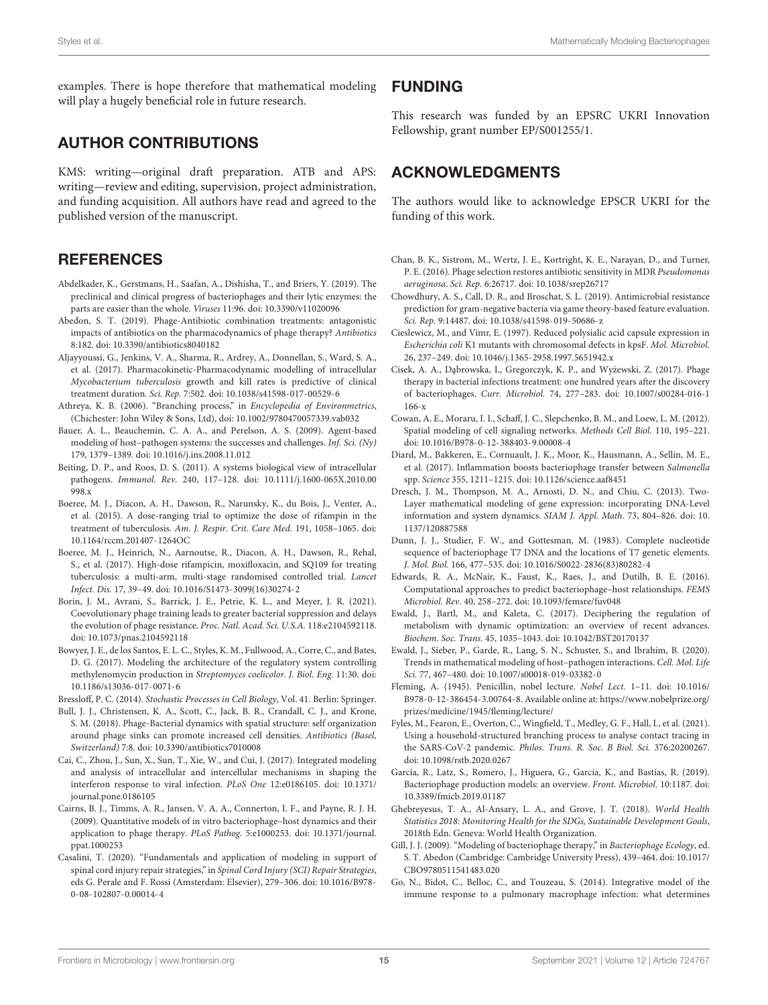examples. There is hope therefore that mathematical modeling will play a hugely beneficial role in future research.

## AUTHOR CONTRIBUTIONS

KMS: writing—original draft preparation. ATB and APS: writing—review and editing, supervision, project administration, and funding acquisition. All authors have read and agreed to the published version of the manuscript.

## **REFERENCES**

- <span id="page-14-9"></span>Abdelkader, K., Gerstmans, H., Saafan, A., Dishisha, T., and Briers, Y. (2019). The preclinical and clinical progress of bacteriophages and their lytic enzymes: the parts are easier than the whole. Viruses 11:96. [doi: 10.3390/v11020096](https://doi.org/10.3390/v11020096)
- <span id="page-14-3"></span>Abedon, S. T. (2019). Phage-Antibiotic combination treatments: antagonistic impacts of antibiotics on the pharmacodynamics of phage therapy? Antibiotics 8:182. [doi: 10.3390/antibiotics8040182](https://doi.org/10.3390/antibiotics8040182)
- <span id="page-14-12"></span>Aljayyoussi, G., Jenkins, V. A., Sharma, R., Ardrey, A., Donnellan, S., Ward, S. A., et al. (2017). Pharmacokinetic-Pharmacodynamic modelling of intracellular Mycobacterium tuberculosis growth and kill rates is predictive of clinical treatment duration. Sci. Rep. 7:502. [doi: 10.1038/s41598-017-00529-6](https://doi.org/10.1038/s41598-017-00529-6)
- <span id="page-14-25"></span>Athreya, K. B. (2006). "Branching process," in Encyclopedia of Environmetrics, (Chichester: John Wiley & Sons, Ltd), [doi: 10.1002/9780470057339.vab032](https://doi.org/10.1002/9780470057339.vab032)
- <span id="page-14-30"></span>Bauer, A. L., Beauchemin, C. A. A., and Perelson, A. S. (2009). Agent-based modeling of host–pathogen systems: the successes and challenges. Inf. Sci. (Ny) 179, 1379–1389. [doi: 10.1016/j.ins.2008.11.012](https://doi.org/10.1016/j.ins.2008.11.012)
- <span id="page-14-23"></span>Beiting, D. P., and Roos, D. S. (2011). A systems biological view of intracellular pathogens. Immunol. Rev. 240, 117–128. [doi: 10.1111/j.1600-065X.2010.00](https://doi.org/10.1111/j.1600-065X.2010.00998.x) [998.x](https://doi.org/10.1111/j.1600-065X.2010.00998.x)
- <span id="page-14-13"></span>Boeree, M. J., Diacon, A. H., Dawson, R., Narunsky, K., du Bois, J., Venter, A., et al. (2015). A dose-ranging trial to optimize the dose of rifampin in the treatment of tuberculosis. Am. J. Respir. Crit. Care Med. 191, 1058–1065. [doi:](https://doi.org/10.1164/rccm.201407-1264OC) [10.1164/rccm.201407-1264OC](https://doi.org/10.1164/rccm.201407-1264OC)
- <span id="page-14-14"></span>Boeree, M. J., Heinrich, N., Aarnoutse, R., Diacon, A. H., Dawson, R., Rehal, S., et al. (2017). High-dose rifampicin, moxifloxacin, and SQ109 for treating tuberculosis: a multi-arm, multi-stage randomised controlled trial. Lancet Infect. Dis. 17, 39–49. [doi: 10.1016/S1473-3099\(16\)30274-2](https://doi.org/10.1016/S1473-3099(16)30274-2)
- <span id="page-14-8"></span>Borin, J. M., Avrani, S., Barrick, J. E., Petrie, K. L., and Meyer, J. R. (2021). Coevolutionary phage training leads to greater bacterial suppression and delays the evolution of phage resistance. Proc. Natl. Acad. Sci. U.S.A. 118:e2104592118. [doi: 10.1073/pnas.2104592118](https://doi.org/10.1073/pnas.2104592118)
- <span id="page-14-11"></span>Bowyer, J. E., de los Santos, E. L. C., Styles, K. M., Fullwood, A., Corre, C., and Bates, D. G. (2017). Modeling the architecture of the regulatory system controlling methylenomycin production in Streptomyces coelicolor. J. Biol. Eng. 11:30. [doi:](https://doi.org/10.1186/s13036-017-0071-6) [10.1186/s13036-017-0071-6](https://doi.org/10.1186/s13036-017-0071-6)

<span id="page-14-21"></span>Bressloff, P. C. (2014). Stochastic Processes in Cell Biology, Vol. 41. Berlin: Springer.

- <span id="page-14-20"></span>Bull, J. J., Christensen, K. A., Scott, C., Jack, B. R., Crandall, C. J., and Krone, S. M. (2018). Phage-Bacterial dynamics with spatial structure: self organization around phage sinks can promote increased cell densities. Antibiotics (Basel, Switzerland) 7:8. [doi: 10.3390/antibiotics7010008](https://doi.org/10.3390/antibiotics7010008)
- <span id="page-14-4"></span>Cai, C., Zhou, J., Sun, X., Sun, T., Xie, W., and Cui, J. (2017). Integrated modeling and analysis of intracellular and intercellular mechanisms in shaping the interferon response to viral infection. PLoS One 12:e0186105. [doi: 10.1371/](https://doi.org/10.1371/journal.pone.0186105) [journal.pone.0186105](https://doi.org/10.1371/journal.pone.0186105)
- <span id="page-14-6"></span>Cairns, B. J., Timms, A. R., Jansen, V. A. A., Connerton, I. F., and Payne, R. J. H. (2009). Quantitative models of in vitro bacteriophage–host dynamics and their application to phage therapy. PLoS Pathog. 5:e1000253. [doi: 10.1371/journal.](https://doi.org/10.1371/journal.ppat.1000253) [ppat.1000253](https://doi.org/10.1371/journal.ppat.1000253)
- <span id="page-14-19"></span>Casalini, T. (2020). "Fundamentals and application of modeling in support of spinal cord injury repair strategies," in Spinal Cord Injury (SCI) Repair Strategies, eds G. Perale and F. Rossi (Amsterdam: Elsevier), 279–306. [doi: 10.1016/B978-](https://doi.org/10.1016/B978-0-08-102807-0.00014-4) [0-08-102807-0.00014-4](https://doi.org/10.1016/B978-0-08-102807-0.00014-4)

## FUNDING

This research was funded by an EPSRC UKRI Innovation Fellowship, grant number EP/S001255/1.

## ACKNOWLEDGMENTS

The authors would like to acknowledge EPSCR UKRI for the funding of this work.

- <span id="page-14-7"></span>Chan, B. K., Sistrom, M., Wertz, J. E., Kortright, K. E., Narayan, D., and Turner, P. E. (2016). Phage selection restores antibiotic sensitivity in MDR Pseudomonas aeruginosa. Sci. Rep. 6:26717. [doi: 10.1038/srep26717](https://doi.org/10.1038/srep26717)
- <span id="page-14-15"></span>Chowdhury, A. S., Call, D. R., and Broschat, S. L. (2019). Antimicrobial resistance prediction for gram-negative bacteria via game theory-based feature evaluation. Sci. Rep. 9:14487. [doi: 10.1038/s41598-019-50686-z](https://doi.org/10.1038/s41598-019-50686-z)
- <span id="page-14-5"></span>Cieslewicz, M., and Vimr, E. (1997). Reduced polysialic acid capsule expression in Escherichia coli K1 mutants with chromosomal defects in kpsF. Mol. Microbiol. 26, 237–249. [doi: 10.1046/j.1365-2958.1997.5651942.x](https://doi.org/10.1046/j.1365-2958.1997.5651942.x)
- <span id="page-14-2"></span>Cisek, A. A., Dąbrowska, I., Gregorczyk, K. P., and Wyżewski, Z. (2017). Phage therapy in bacterial infections treatment: one hundred years after the discovery of bacteriophages. Curr. Microbiol. 74, 277–283. [doi: 10.1007/s00284-016-1](https://doi.org/10.1007/s00284-016-1166-x) [166-x](https://doi.org/10.1007/s00284-016-1166-x)
- <span id="page-14-18"></span>Cowan, A. E., Moraru, I. I., Schaff, J. C., Slepchenko, B. M., and Loew, L. M. (2012). Spatial modeling of cell signaling networks. Methods Cell Biol. 110, 195–221. [doi: 10.1016/B978-0-12-388403-9.00008-4](https://doi.org/10.1016/B978-0-12-388403-9.00008-4)
- <span id="page-14-29"></span>Diard, M., Bakkeren, E., Cornuault, J. K., Moor, K., Hausmann, A., Sellin, M. E., et al. (2017). Inflammation boosts bacteriophage transfer between Salmonella spp. Science 355, 1211–1215. [doi: 10.1126/science.aaf8451](https://doi.org/10.1126/science.aaf8451)
- <span id="page-14-10"></span>Dresch, J. M., Thompson, M. A., Arnosti, D. N., and Chiu, C. (2013). Two-Layer mathematical modeling of gene expression: incorporating DNA-Level information and system dynamics. SIAM J. Appl. Math. 73, 804–826. [doi: 10.](https://doi.org/10.1137/120887588) [1137/120887588](https://doi.org/10.1137/120887588)
- <span id="page-14-16"></span>Dunn, J. J., Studier, F. W., and Gottesman, M. (1983). Complete nucleotide sequence of bacteriophage T7 DNA and the locations of T7 genetic elements. J. Mol. Biol. 166, 477–535. [doi: 10.1016/S0022-2836\(83\)80282-4](https://doi.org/10.1016/S0022-2836(83)80282-4)
- <span id="page-14-27"></span>Edwards, R. A., McNair, K., Faust, K., Raes, J., and Dutilh, B. E. (2016). Computational approaches to predict bacteriophage–host relationships. FEMS Microbiol. Rev. 40, 258–272. [doi: 10.1093/femsre/fuv048](https://doi.org/10.1093/femsre/fuv048)
- <span id="page-14-31"></span>Ewald, J., Bartl, M., and Kaleta, C. (2017). Deciphering the regulation of metabolism with dynamic optimization: an overview of recent advances. Biochem. Soc. Trans. 45, 1035–1043. [doi: 10.1042/BST20170137](https://doi.org/10.1042/BST20170137)
- <span id="page-14-17"></span>Ewald, J., Sieber, P., Garde, R., Lang, S. N., Schuster, S., and Ibrahim, B. (2020). Trends in mathematical modeling of host–pathogen interactions. Cell. Mol. Life Sci. 77, 467–480. [doi: 10.1007/s00018-019-03382-0](https://doi.org/10.1007/s00018-019-03382-0)
- <span id="page-14-1"></span>Fleming, A. (1945). Penicillin, nobel lecture. Nobel Lect. 1–11. [doi: 10.1016/](https://doi.org/10.1016/B978-0-12-386454-3.00764-8) [B978-0-12-386454-3.00764-8.](https://doi.org/10.1016/B978-0-12-386454-3.00764-8) Available online at: [https://www.nobelprize.org/](https://www.nobelprize.org/prizes/medicine/1945/fleming/lecture/) [prizes/medicine/1945/fleming/lecture/](https://www.nobelprize.org/prizes/medicine/1945/fleming/lecture/)
- <span id="page-14-26"></span>Fyles, M., Fearon, E., Overton, C., Wingfield, T., Medley, G. F., Hall, I., et al. (2021). Using a household-structured branching process to analyse contact tracing in the SARS-CoV-2 pandemic. Philos. Trans. R. Soc. B Biol. Sci. 376:20200267. [doi: 10.1098/rstb.2020.0267](https://doi.org/10.1098/rstb.2020.0267)
- <span id="page-14-28"></span>García, R., Latz, S., Romero, J., Higuera, G., García, K., and Bastías, R. (2019). Bacteriophage production models: an overview. Front. Microbiol. 10:1187. [doi:](https://doi.org/10.3389/fmicb.2019.01187) [10.3389/fmicb.2019.01187](https://doi.org/10.3389/fmicb.2019.01187)
- <span id="page-14-0"></span>Ghebreyesus, T. A., Al-Ansary, L. A., and Grove, J. T. (2018). World Health Statistics 2018: Monitoring Health for the SDGs, Sustainable Development Goals, 2018th Edn. Geneva: World Health Organization.
- <span id="page-14-22"></span>Gill, J. J. (2009). "Modeling of bacteriophage therapy," in Bacteriophage Ecology, ed. S. T. Abedon (Cambridge: Cambridge University Press), 439–464. [doi: 10.1017/](https://doi.org/10.1017/CBO9780511541483.020) [CBO9780511541483.020](https://doi.org/10.1017/CBO9780511541483.020)
- <span id="page-14-24"></span>Go, N., Bidot, C., Belloc, C., and Touzeau, S. (2014). Integrative model of the immune response to a pulmonary macrophage infection: what determines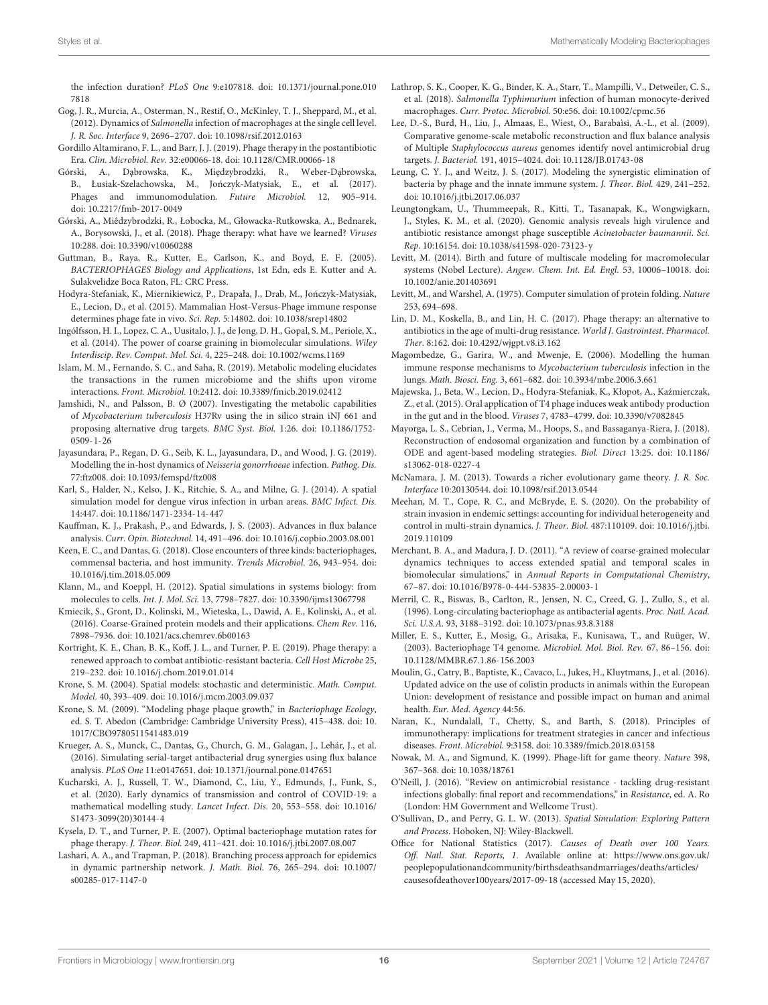the infection duration? PLoS One 9:e107818. [doi: 10.1371/journal.pone.010](https://doi.org/10.1371/journal.pone.0107818) [7818](https://doi.org/10.1371/journal.pone.0107818)

- <span id="page-15-22"></span>Gog, J. R., Murcia, A., Osterman, N., Restif, O., McKinley, T. J., Sheppard, M., et al. (2012). Dynamics of Salmonella infection of macrophages at the single cell level. J. R. Soc. Interface 9, 2696–2707. [doi: 10.1098/rsif.2012.0163](https://doi.org/10.1098/rsif.2012.0163)
- <span id="page-15-7"></span>Gordillo Altamirano, F. L., and Barr, J. J. (2019). Phage therapy in the postantibiotic Era. Clin. Microbiol. Rev. 32:e00066-18. [doi: 10.1128/CMR.00066-18](https://doi.org/10.1128/CMR.00066-18)
- <span id="page-15-36"></span>Górski, A., Dąbrowska, K., Międzybrodzki, R., Weber-Dąbrowska, B., Łusiak-Szelachowska, M., Jończyk-Matysiak, E., et al. (2017). Phages and immunomodulation. Future Microbiol. 12, 905–914. [doi: 10.2217/fmb-2017-0049](https://doi.org/10.2217/fmb-2017-0049)
- <span id="page-15-34"></span>Górski, A., Miêdzybrodzki, R., Łobocka, M., Głowacka-Rutkowska, A., Bednarek, A., Borysowski, J., et al. (2018). Phage therapy: what have we learned? Viruses 10:288. [doi: 10.3390/v10060288](https://doi.org/10.3390/v10060288)
- <span id="page-15-39"></span>Guttman, B., Raya, R., Kutter, E., Carlson, K., and Boyd, E. F. (2005). BACTERIOPHAGES Biology and Applications, 1st Edn, eds E. Kutter and A. Sulakvelidze Boca Raton, FL: CRC Press.
- <span id="page-15-38"></span>Hodyra-Stefaniak, K., Miernikiewicz, P., Drapała, J., Drab, M., Jończyk-Matysiak, E., Lecion, D., et al. (2015). Mammalian Host-Versus-Phage immune response determines phage fate in vivo. Sci. Rep. 5:14802. [doi: 10.1038/srep14802](https://doi.org/10.1038/srep14802)
- <span id="page-15-29"></span>Ingólfsson, H. I., Lopez, C. A., Uusitalo, J. J., de Jong, D. H., Gopal, S. M., Periole, X., et al. (2014). The power of coarse graining in biomolecular simulations. Wiley Interdiscip. Rev. Comput. Mol. Sci. 4, 225–248. [doi: 10.1002/wcms.1169](https://doi.org/10.1002/wcms.1169)
- <span id="page-15-13"></span>Islam, M. M., Fernando, S. C., and Saha, R. (2019). Metabolic modeling elucidates the transactions in the rumen microbiome and the shifts upon virome interactions. Front. Microbiol. 10:2412. [doi: 10.3389/fmicb.2019.02412](https://doi.org/10.3389/fmicb.2019.02412)
- <span id="page-15-17"></span>Jamshidi, N., and Palsson, B. Ø (2007). Investigating the metabolic capabilities of Mycobacterium tuberculosis H37Rv using the in silico strain iNJ 661 and proposing alternative drug targets. BMC Syst. Biol. 1:26. [doi: 10.1186/1752-](https://doi.org/10.1186/1752-0509-1-26) [0509-1-26](https://doi.org/10.1186/1752-0509-1-26)
- <span id="page-15-11"></span>Jayasundara, P., Regan, D. G., Seib, K. L., Jayasundara, D., and Wood, J. G. (2019). Modelling the in-host dynamics of Neisseria gonorrhoeae infection. Pathog. Dis. 77:ftz008. [doi: 10.1093/femspd/ftz008](https://doi.org/10.1093/femspd/ftz008)
- <span id="page-15-26"></span>Karl, S., Halder, N., Kelso, J. K., Ritchie, S. A., and Milne, G. J. (2014). A spatial simulation model for dengue virus infection in urban areas. BMC Infect. Dis. 14:447. [doi: 10.1186/1471-2334-14-447](https://doi.org/10.1186/1471-2334-14-447)
- <span id="page-15-19"></span>Kauffman, K. J., Prakash, P., and Edwards, J. S. (2003). Advances in flux balance analysis. Curr. Opin. Biotechnol. 14, 491–496. [doi: 10.1016/j.copbio.2003.08.001](https://doi.org/10.1016/j.copbio.2003.08.001)
- <span id="page-15-14"></span>Keen, E. C., and Dantas, G. (2018). Close encounters of three kinds: bacteriophages, commensal bacteria, and host immunity. Trends Microbiol. 26, 943–954. [doi:](https://doi.org/10.1016/j.tim.2018.05.009) [10.1016/j.tim.2018.05.009](https://doi.org/10.1016/j.tim.2018.05.009)
- <span id="page-15-21"></span>Klann, M., and Koeppl, H. (2012). Spatial simulations in systems biology: from molecules to cells. Int. J. Mol. Sci. 13, 7798–7827. [doi: 10.3390/ijms13067798](https://doi.org/10.3390/ijms13067798)
- <span id="page-15-28"></span>Kmiecik, S., Gront, D., Kolinski, M., Wieteska, L., Dawid, A. E., Kolinski, A., et al. (2016). Coarse-Grained protein models and their applications. Chem Rev. 116, 7898–7936. [doi: 10.1021/acs.chemrev.6b00163](https://doi.org/10.1021/acs.chemrev.6b00163)
- <span id="page-15-8"></span>Kortright, K. E., Chan, B. K., Koff, J. L., and Turner, P. E. (2019). Phage therapy: a renewed approach to combat antibiotic-resistant bacteria. Cell Host Microbe 25, 219–232. [doi: 10.1016/j.chom.2019.01.014](https://doi.org/10.1016/j.chom.2019.01.014)
- <span id="page-15-24"></span>Krone, S. M. (2004). Spatial models: stochastic and deterministic. Math. Comput. Model. 40, 393–409. [doi: 10.1016/j.mcm.2003.09.037](https://doi.org/10.1016/j.mcm.2003.09.037)
- <span id="page-15-31"></span>Krone, S. M. (2009). "Modeling phage plaque growth," in Bacteriophage Ecology, ed. S. T. Abedon (Cambridge: Cambridge University Press), 415–438. [doi: 10.](https://doi.org/10.1017/CBO9780511541483.019) [1017/CBO9780511541483.019](https://doi.org/10.1017/CBO9780511541483.019)
- <span id="page-15-16"></span>Krueger, A. S., Munck, C., Dantas, G., Church, G. M., Galagan, J., Lehár, J., et al. (2016). Simulating serial-target antibacterial drug synergies using flux balance analysis. PLoS One 11:e0147651. [doi: 10.1371/journal.pone.0147651](https://doi.org/10.1371/journal.pone.0147651)
- <span id="page-15-12"></span>Kucharski, A. J., Russell, T. W., Diamond, C., Liu, Y., Edmunds, J., Funk, S., et al. (2020). Early dynamics of transmission and control of COVID-19: a mathematical modelling study. Lancet Infect. Dis. 20, 553–558. [doi: 10.1016/](https://doi.org/10.1016/S1473-3099(20)30144-4) [S1473-3099\(20\)30144-4](https://doi.org/10.1016/S1473-3099(20)30144-4)
- <span id="page-15-6"></span>Kysela, D. T., and Turner, P. E. (2007). Optimal bacteriophage mutation rates for phage therapy. J. Theor. Biol. 249, 411–421. [doi: 10.1016/j.jtbi.2007.08.007](https://doi.org/10.1016/j.jtbi.2007.08.007)
- <span id="page-15-42"></span>Lashari, A. A., and Trapman, P. (2018). Branching process approach for epidemics in dynamic partnership network. J. Math. Biol. 76, 265–294. [doi: 10.1007/](https://doi.org/10.1007/s00285-017-1147-0) [s00285-017-1147-0](https://doi.org/10.1007/s00285-017-1147-0)
- <span id="page-15-33"></span>Lathrop, S. K., Cooper, K. G., Binder, K. A., Starr, T., Mampilli, V., Detweiler, C. S., et al. (2018). Salmonella Typhimurium infection of human monocyte-derived macrophages. Curr. Protoc. Microbiol. 50:e56. [doi: 10.1002/cpmc.56](https://doi.org/10.1002/cpmc.56)
- <span id="page-15-18"></span>Lee, D.-S., Burd, H., Liu, J., Almaas, E., Wiest, O., Barabaìsi, A.-L., et al. (2009). Comparative genome-scale metabolic reconstruction and flux balance analysis of Multiple Staphylococcus aureus genomes identify novel antimicrobial drug targets. J. Bacteriol. 191, 4015–4024. [doi: 10.1128/JB.01743-08](https://doi.org/10.1128/JB.01743-08)
- <span id="page-15-35"></span>Leung, C. Y. J., and Weitz, J. S. (2017). Modeling the synergistic elimination of bacteria by phage and the innate immune system. J. Theor. Biol. 429, 241–252. [doi: 10.1016/j.jtbi.2017.06.037](https://doi.org/10.1016/j.jtbi.2017.06.037)
- <span id="page-15-5"></span>Leungtongkam, U., Thummeepak, R., Kitti, T., Tasanapak, K., Wongwigkarn, J., Styles, K. M., et al. (2020). Genomic analysis reveals high virulence and antibiotic resistance amongst phage susceptible Acinetobacter baumannii. Sci. Rep. 10:16154. [doi: 10.1038/s41598-020-73123-y](https://doi.org/10.1038/s41598-020-73123-y)
- <span id="page-15-27"></span>Levitt, M. (2014). Birth and future of multiscale modeling for macromolecular systems (Nobel Lecture). Angew. Chem. Int. Ed. Engl. 53, 10006–10018. [doi:](https://doi.org/10.1002/anie.201403691) [10.1002/anie.201403691](https://doi.org/10.1002/anie.201403691)
- <span id="page-15-30"></span>Levitt, M., and Warshel, A. (1975). Computer simulation of protein folding. Nature 253, 694–698.
- <span id="page-15-1"></span>Lin, D. M., Koskella, B., and Lin, H. C. (2017). Phage therapy: an alternative to antibiotics in the age of multi-drug resistance. World J. Gastrointest. Pharmacol. Ther. 8:162. [doi: 10.4292/wjgpt.v8.i3.162](https://doi.org/10.4292/wjgpt.v8.i3.162)
- <span id="page-15-10"></span>Magombedze, G., Garira, W., and Mwenje, E. (2006). Modelling the human immune response mechanisms to Mycobacterium tuberculosis infection in the lungs. Math. Biosci. Eng. 3, 661–682. [doi: 10.3934/mbe.2006.3.661](https://doi.org/10.3934/mbe.2006.3.661)
- <span id="page-15-32"></span>Majewska, J., Beta, W., Lecion, D., Hodyra-Stefaniak, K., Kłopot, A., Kaźmierczak, Z., et al. (2015). Oral application of T4 phage induces weak antibody production in the gut and in the blood. Viruses 7, 4783–4799. [doi: 10.3390/v7082845](https://doi.org/10.3390/v7082845)
- <span id="page-15-23"></span>Mayorga, L. S., Cebrian, I., Verma, M., Hoops, S., and Bassaganya-Riera, J. (2018). Reconstruction of endosomal organization and function by a combination of ODE and agent-based modeling strategies. Biol. Direct 13:25. [doi: 10.1186/](https://doi.org/10.1186/s13062-018-0227-4) [s13062-018-0227-4](https://doi.org/10.1186/s13062-018-0227-4)
- <span id="page-15-9"></span>McNamara, J. M. (2013). Towards a richer evolutionary game theory. J. R. Soc. Interface 10:20130544. [doi: 10.1098/rsif.2013.0544](https://doi.org/10.1098/rsif.2013.0544)
- <span id="page-15-41"></span>Meehan, M. T., Cope, R. C., and McBryde, E. S. (2020). On the probability of strain invasion in endemic settings: accounting for individual heterogeneity and control in multi-strain dynamics. J. Theor. Biol. 487:110109. [doi: 10.1016/j.jtbi.](https://doi.org/10.1016/j.jtbi.2019.110109) [2019.110109](https://doi.org/10.1016/j.jtbi.2019.110109)
- <span id="page-15-40"></span>Merchant, B. A., and Madura, J. D. (2011). "A review of coarse-grained molecular dynamics techniques to access extended spatial and temporal scales in biomolecular simulations," in Annual Reports in Computational Chemistry, 67–87. [doi: 10.1016/B978-0-444-53835-2.00003-1](https://doi.org/10.1016/B978-0-444-53835-2.00003-1)
- <span id="page-15-37"></span>Merril, C. R., Biswas, B., Carlton, R., Jensen, N. C., Creed, G. J., Zullo, S., et al. (1996). Long-circulating bacteriophage as antibacterial agents. Proc. Natl. Acad. Sci. U.S.A. 93, 3188–3192. [doi: 10.1073/pnas.93.8.3188](https://doi.org/10.1073/pnas.93.8.3188)
- <span id="page-15-20"></span>Miller, E. S., Kutter, E., Mosig, G., Arisaka, F., Kunisawa, T., and Ruüger, W. (2003). Bacteriophage T4 genome. Microbiol. Mol. Biol. Rev. 67, 86–156. [doi:](https://doi.org/10.1128/MMBR.67.1.86-156.2003) [10.1128/MMBR.67.1.86-156.2003](https://doi.org/10.1128/MMBR.67.1.86-156.2003)
- <span id="page-15-2"></span>Moulin, G., Catry, B., Baptiste, K., Cavaco, L., Jukes, H., Kluytmans, J., et al. (2016). Updated advice on the use of colistin products in animals within the European Union: development of resistance and possible impact on human and animal health. Eur. Med. Agency 44:56.
- <span id="page-15-4"></span>Naran, K., Nundalall, T., Chetty, S., and Barth, S. (2018). Principles of immunotherapy: implications for treatment strategies in cancer and infectious diseases. Front. Microbiol. 9:3158. [doi: 10.3389/fmicb.2018.03158](https://doi.org/10.3389/fmicb.2018.03158)
- <span id="page-15-15"></span>Nowak, M. A., and Sigmund, K. (1999). Phage-lift for game theory. Nature 398, 367–368. [doi: 10.1038/18761](https://doi.org/10.1038/18761)
- <span id="page-15-3"></span>O'Neill, J. (2016). "Review on antimicrobial resistance - tackling drug-resistant infections globally: final report and recommendations," in Resistance, ed. A. Ro (London: HM Government and Wellcome Trust).
- <span id="page-15-25"></span>O'Sullivan, D., and Perry, G. L. W. (2013). Spatial Simulation: Exploring Pattern and Process. Hoboken, NJ: Wiley-Blackwell.
- <span id="page-15-0"></span>Office for National Statistics (2017). Causes of Death over 100 Years. Off. Natl. Stat. Reports, 1. Available online at: [https://www.ons.gov.uk/](https://www.ons.gov.uk/peoplepopulationandcommunity/birthsdeathsandmarriages/deaths/articles/causesofdeathover100years/2017-09-18) [peoplepopulationandcommunity/birthsdeathsandmarriages/deaths/articles/](https://www.ons.gov.uk/peoplepopulationandcommunity/birthsdeathsandmarriages/deaths/articles/causesofdeathover100years/2017-09-18) [causesofdeathover100years/2017-09-18](https://www.ons.gov.uk/peoplepopulationandcommunity/birthsdeathsandmarriages/deaths/articles/causesofdeathover100years/2017-09-18) (accessed May 15, 2020).